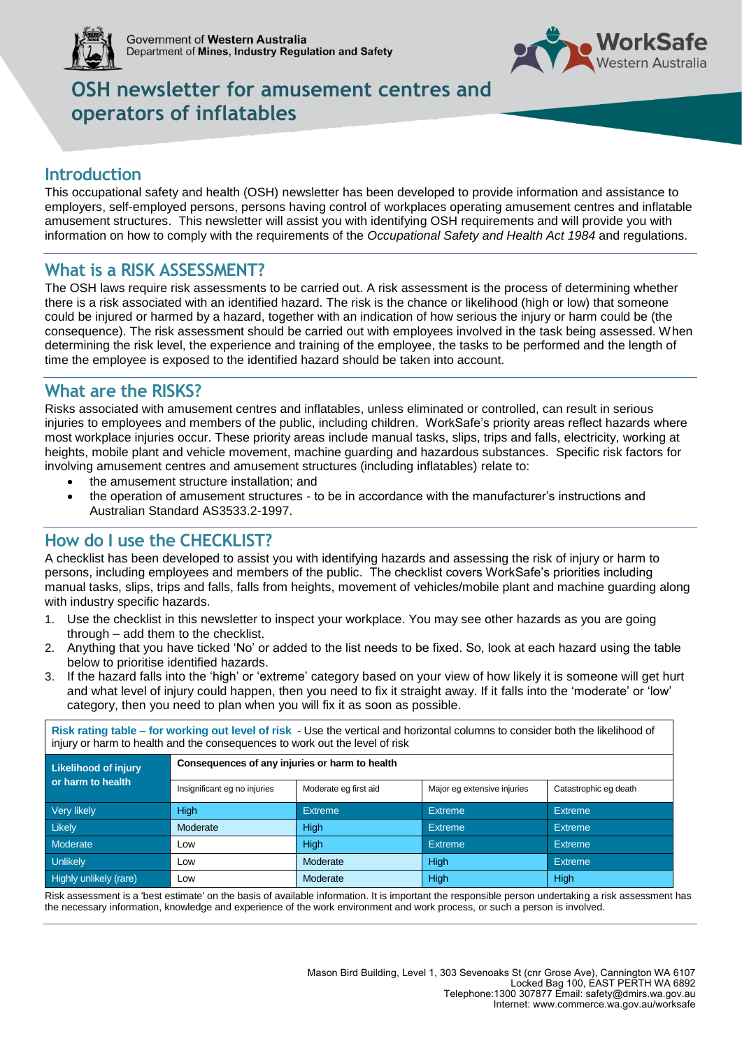



# **OSH newsletter for amusement centres and operators of inflatables**

### **Introduction**

This occupational safety and health (OSH) newsletter has been developed to provide information and assistance to employers, self-employed persons, persons having control of workplaces operating amusement centres and inflatable amusement structures. This newsletter will assist you with identifying OSH requirements and will provide you with information on how to comply with the requirements of the *Occupational Safety and Health Act 1984* and regulations.

### **What is a RISK ASSESSMENT?**

The OSH laws require risk assessments to be carried out. A risk assessment is the process of determining whether there is a risk associated with an identified hazard. The risk is the chance or likelihood (high or low) that someone could be injured or harmed by a hazard, together with an indication of how serious the injury or harm could be (the consequence). The risk assessment should be carried out with employees involved in the task being assessed. When determining the risk level, the experience and training of the employee, the tasks to be performed and the length of time the employee is exposed to the identified hazard should be taken into account.

### **What are the RISKS?**

Risks associated with amusement centres and inflatables, unless eliminated or controlled, can result in serious injuries to employees and members of the public, including children. WorkSafe's priority areas reflect hazards where most workplace injuries occur. These priority areas include manual tasks, slips, trips and falls, electricity, working at heights, mobile plant and vehicle movement, machine guarding and hazardous substances. Specific risk factors for involving amusement centres and amusement structures (including inflatables) relate to:

- the amusement structure installation; and
- the operation of amusement structures to be in accordance with the manufacturer's instructions and Australian Standard AS3533.2-1997.

### **How do I use the CHECKLIST?**

A checklist has been developed to assist you with identifying hazards and assessing the risk of injury or harm to persons, including employees and members of the public. The checklist covers WorkSafe's priorities including manual tasks, slips, trips and falls, falls from heights, movement of vehicles/mobile plant and machine guarding along with industry specific hazards.

- 1. Use the checklist in this newsletter to inspect your workplace. You may see other hazards as you are going through – add them to the checklist.
- 2. Anything that you have ticked 'No' or added to the list needs to be fixed. So, look at each hazard using the table below to prioritise identified hazards.
- 3. If the hazard falls into the 'high' or 'extreme' category based on your view of how likely it is someone will get hurt and what level of injury could happen, then you need to fix it straight away. If it falls into the 'moderate' or 'low' category, then you need to plan when you will fix it as soon as possible.

**Risk rating table – for working out level of risk** - Use the vertical and horizontal columns to consider both the likelihood of injury or harm to health and the consequences to work out the level of risk

| Likelihood of injury   | Consequences of any injuries or harm to health |                       |                             |                       |  |  |
|------------------------|------------------------------------------------|-----------------------|-----------------------------|-----------------------|--|--|
| or harm to health      | Insignificant eg no injuries                   | Moderate eg first aid | Major eg extensive injuries | Catastrophic eg death |  |  |
| Very likely            | <b>High</b>                                    | <b>Extreme</b>        | <b>Extreme</b>              | <b>Extreme</b>        |  |  |
| <b>Likely</b>          | Moderate                                       | High                  | <b>Extreme</b>              | <b>Extreme</b>        |  |  |
| Moderate               | Low                                            | High                  | <b>Extreme</b>              | <b>Extreme</b>        |  |  |
| <b>Unlikely</b>        | Low                                            | Moderate              | High                        | <b>Extreme</b>        |  |  |
| Highly unlikely (rare) | Low                                            | Moderate              | High                        | <b>High</b>           |  |  |

Risk assessment is a 'best estimate' on the basis of available information. It is important the responsible person undertaking a risk assessment has the necessary information, knowledge and experience of the work environment and work process, or such a person is involved.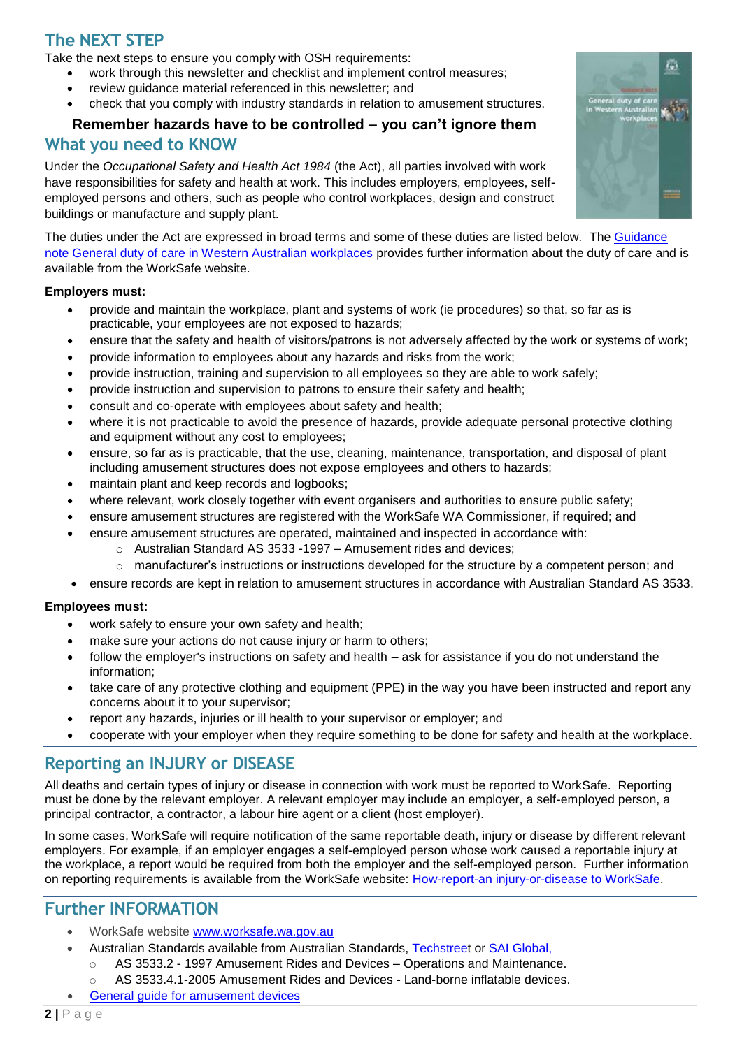# **The NEXT STEP**

Take the next steps to ensure you comply with OSH requirements:

- work through this newsletter and checklist and implement control measures;
- review guidance material referenced in this newsletter; and
- check that you comply with industry standards in relation to amusement structures.

# **Remember hazards have to be controlled – you can't ignore them**

### **What you need to KNOW**

Under the *Occupational Safety and Health Act 1984* (the Act), all parties involved with work have responsibilities for safety and health at work. This includes employers, employees, selfemployed persons and others, such as people who control workplaces, design and construct buildings or manufacture and supply plant.

The duties under the Act are expressed in broad terms and some of these duties are listed below. The [Guidance](http://www.commerce.wa.gov.au/sites/default/files/atoms/files/general_duty_of_care.pdf)  [note General duty of care in Western Australian workplaces](http://www.commerce.wa.gov.au/sites/default/files/atoms/files/general_duty_of_care.pdf) provides further information about the duty of care and is available from the WorkSafe website.

#### **Employers must:**

- provide and maintain the workplace, plant and systems of work (ie procedures) so that, so far as is practicable, your employees are not exposed to hazards;
- ensure that the safety and health of visitors/patrons is not adversely affected by the work or systems of work;
- provide information to employees about any hazards and risks from the work;
- provide instruction, training and supervision to all employees so they are able to work safely;
- provide instruction and supervision to patrons to ensure their safety and health;
- consult and co-operate with employees about safety and health;
- where it is not [practicable](http://www.commerce.wa.gov.au/worksafe/employers-your-responsibilities#practicable) to avoid the presence of hazards, provide adequate personal protective clothing and equipment without any cost to employees;
- ensure, so far as is practicable, that the use, cleaning, maintenance, transportation, and disposal of plant including amusement structures does not expose employees and others to hazards;
- maintain plant and keep records and logbooks;
- where relevant, work closely together with event organisers and authorities to ensure public safety;
- ensure amusement structures are registered with the WorkSafe WA Commissioner, if required; and
- ensure amusement structures are operated, maintained and inspected in accordance with:
	- o Australian Standard AS 3533 -1997 Amusement rides and devices;
	- $\circ$  manufacturer's instructions or instructions developed for the structure by a competent person; and
- ensure records are kept in relation to amusement structures in accordance with Australian Standard AS 3533.

#### **Employees must:**

- work safely to ensure your own safety and health;
- make sure your actions do not cause injury or harm to others;
- follow the employer's instructions on safety and health ask for assistance if you do not understand the information;
- take care of any protective clothing and equipment (PPE) in the way you have been instructed and report any concerns about it to your supervisor;
- report any hazards, injuries or ill health to your supervisor or employer; and
- cooperate with your employer when they require something to be done for safety and health at the workplace.

### **Reporting an INJURY or DISEASE**

All deaths and certain types of injury or disease in connection with work must be reported to WorkSafe. Reporting must be done by the relevant employer. A relevant employer may include an employer, a self-employed person, a principal contractor, a contractor, a labour hire agent or a client (host employer).

In some cases, WorkSafe will require notification of the same reportable death, injury or disease by different relevant employers. For example, if an employer engages a self-employed person whose work caused a reportable injury at the workplace, a report would be required from both the employer and the self-employed person. Further information on reporting requirements is available from the WorkSafe website: [How-report-an injury-or-disease to WorkSafe.](http://www.commerce.wa.gov.au/worksafe/how-report-injury-and-disease)

### **Further INFORMATION**

- WorkSafe website [www.worksafe.wa.gov.au](http://www.worksafe.wa.gov.au/)
	- Australian Standards available from Australian Standards, [Techstreet](https://www.techstreet.com/publishers/as) or SAI [Global,](http://www.saiglobal.com/)
		- AS 3533.2 1997 Amusement Rides and Devices Operations and Maintenance.
		- o AS 3533.4.1-2005 Amusement Rides and Devices Land-borne inflatable devices.
- General guide for [amusement](https://www.safeworkaustralia.gov.au/system/files/documents/1705/amusement-devices-general-guide-v3.pdf) devices

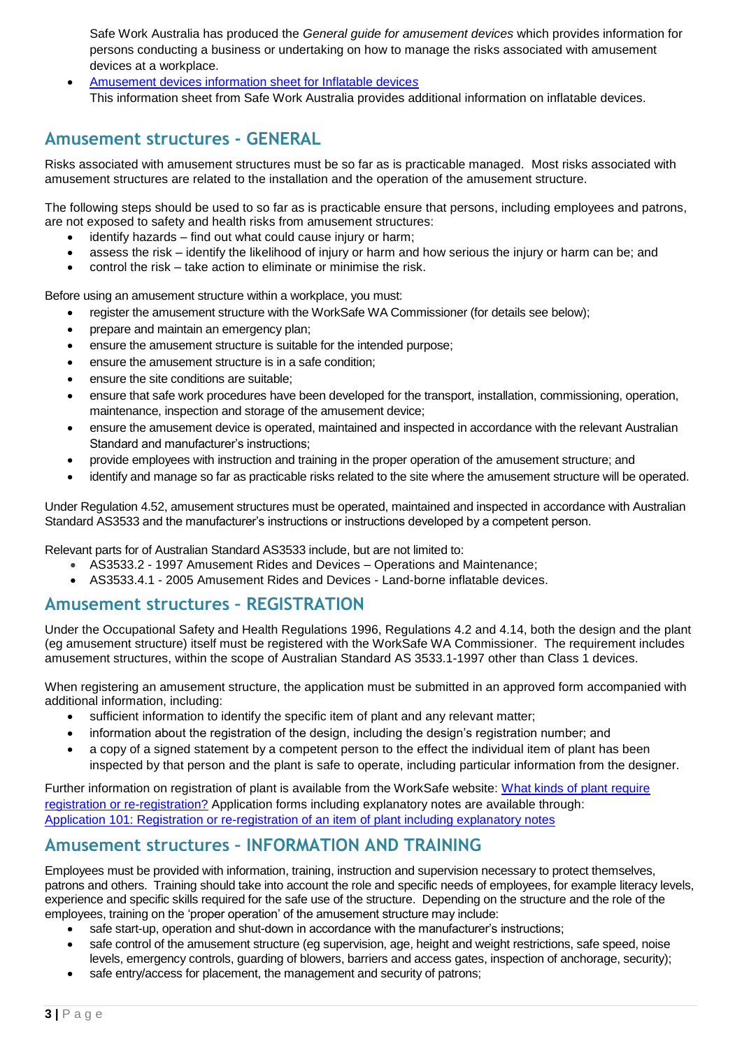Safe Work Australia has produced the *General guide for amusement devices* which provides information for persons conducting a business or undertaking on how to manage the risks associated with amusement devices at a workplace.

 [Amusement devices information sheet for Inflatable device](https://www.safeworkaustralia.gov.au/resources-and-publications/information-sheet/amusement-devices-information-sheet-inflatable-devices)*s* This information sheet from Safe Work Australia provides additional information on inflatable devices.

### **Amusement structures - GENERAL**

Risks associated with amusement structures must be so far as is practicable managed. Most risks associated with amusement structures are related to the installation and the operation of the amusement structure.

The following steps should be used to so far as is practicable ensure that persons, including employees and patrons, are not exposed to safety and health risks from amusement structures:

- identify hazards find out what could cause injury or harm;
- assess the risk identify the likelihood of injury or harm and how serious the injury or harm can be; and
- control the risk take action to eliminate or minimise the risk.

Before using an amusement structure within a workplace, you must:

- register the amusement structure with the WorkSafe WA Commissioner (for details see below);
- prepare and maintain an emergency plan;
- ensure the amusement structure is suitable for the intended purpose;
- ensure the amusement structure is in a safe condition;
- ensure the site conditions are suitable;
- ensure that safe work procedures have been developed for the transport, installation, commissioning, operation, maintenance, inspection and storage of the amusement device;
- ensure the amusement device is operated, maintained and inspected in accordance with the relevant Australian Standard and manufacturer's instructions;
- provide employees with instruction and training in the proper operation of the amusement structure; and
- identify and manage so far as practicable risks related to the site where the amusement structure will be operated.

Under Regulation 4.52, amusement structures must be operated, maintained and inspected in accordance with Australian Standard AS3533 and the manufacturer's instructions or instructions developed by a competent person.

Relevant parts for of Australian Standard AS3533 include, but are not limited to:

- AS3533.2 1997 Amusement Rides and Devices Operations and Maintenance;
- AS3533.4.1 2005 Amusement Rides and Devices Land-borne inflatable devices.

### **Amusement structures – REGISTRATION**

Under the Occupational Safety and Health Regulations 1996, Regulations 4.2 and 4.14, both the design and the plant (eg amusement structure) itself must be registered with the WorkSafe WA Commissioner. The requirement includes amusement structures, within the scope of Australian Standard AS 3533.1-1997 other than Class 1 devices.

When registering an amusement structure, the application must be submitted in an approved form accompanied with additional information, including:

- sufficient information to identify the specific item of plant and any relevant matter;
- information about the registration of the design, including the design's registration number; and
- a copy of a signed statement by a competent person to the effect the individual item of plant has been inspected by that person and the plant is safe to operate, including particular information from the designer.

Further information on registration of plant is available from the WorkSafe website: [What kinds of plant require](https://www.commerce.wa.gov.au/worksafe/what-kinds-plant-requires-registration-or-re-registration)  [registration or re-registration?](https://www.commerce.wa.gov.au/worksafe/what-kinds-plant-requires-registration-or-re-registration) Application forms including explanatory notes are available through: [Application 101: Registration or re-registration of an item of plant including explanatory notes](https://www.commerce.wa.gov.au/publications/registration-or-re-registration-item-plant) 

### **Amusement structures – INFORMATION AND TRAINING**

Employees must be provided with information, training, instruction and supervision necessary to protect themselves, patrons and others. Training should take into account the role and specific needs of employees, for example literacy levels, experience and specific skills required for the safe use of the structure. Depending on the structure and the role of the employees, training on the 'proper operation' of the amusement structure may include:

- safe start-up, operation and shut-down in accordance with the manufacturer's instructions;
- safe control of the amusement structure (eg supervision, age, height and weight restrictions, safe speed, noise levels, emergency controls, guarding of blowers, barriers and access gates, inspection of anchorage, security);
- safe entry/access for placement, the management and security of patrons;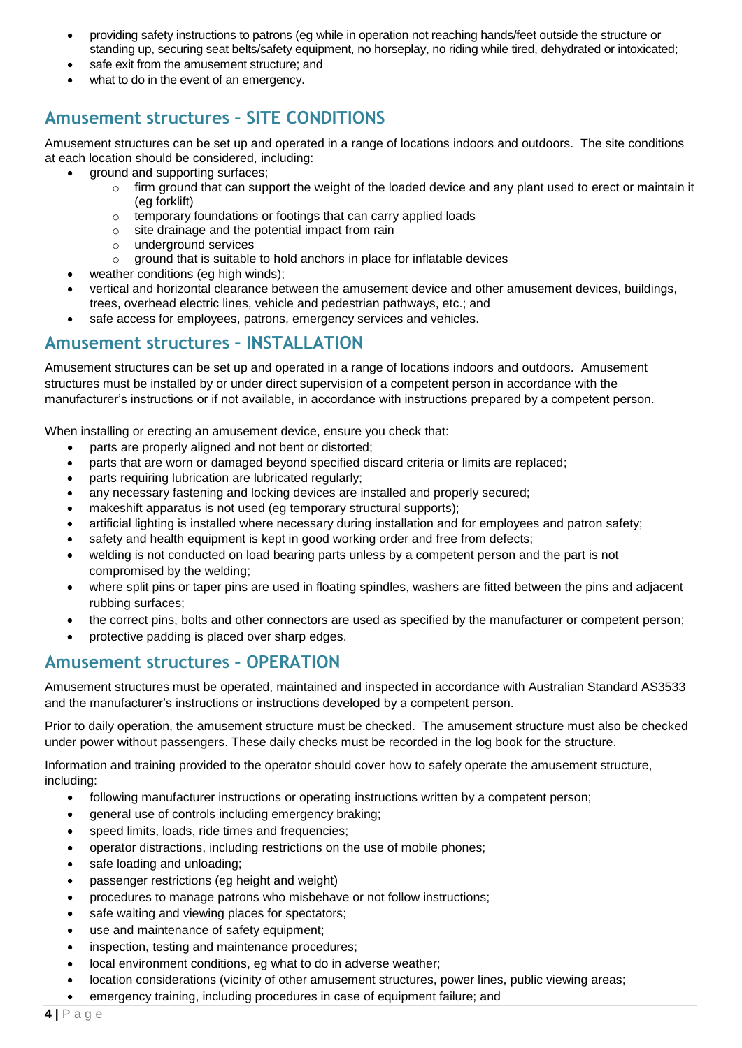- providing safety instructions to patrons (eg while in operation not reaching hands/feet outside the structure or standing up, securing seat belts/safety equipment, no horseplay, no riding while tired, dehydrated or intoxicated;
- safe exit from the amusement structure; and
- what to do in the event of an emergency.

### **Amusement structures – SITE CONDITIONS**

Amusement structures can be set up and operated in a range of locations indoors and outdoors. The site conditions at each location should be considered, including:

- ground and supporting surfaces;
	- $\circ$  firm ground that can support the weight of the loaded device and any plant used to erect or maintain it (eg forklift)
		- o temporary foundations or footings that can carry applied loads
		- o site drainage and the potential impact from rain
		- o underground services
	- o ground that is suitable to hold anchors in place for inflatable devices
- weather conditions (eg high winds);
- vertical and horizontal clearance between the amusement device and other amusement devices, buildings, trees, overhead electric lines, vehicle and pedestrian pathways, etc.; and
- safe access for employees, patrons, emergency services and vehicles.

### **Amusement structures – INSTALLATION**

Amusement structures can be set up and operated in a range of locations indoors and outdoors. Amusement structures must be installed by or under direct supervision of a competent person in accordance with the manufacturer's instructions or if not available, in accordance with instructions prepared by a competent person.

When installing or erecting an amusement device, ensure you check that:

- parts are properly aligned and not bent or distorted;
- parts that are worn or damaged beyond specified discard criteria or limits are replaced;
- parts requiring lubrication are lubricated regularly;
- any necessary fastening and locking devices are installed and properly secured;
- makeshift apparatus is not used (eg temporary structural supports);
- artificial lighting is installed where necessary during installation and for employees and patron safety;
- safety and health equipment is kept in good working order and free from defects;
- welding is not conducted on load bearing parts unless by a competent person and the part is not compromised by the welding;
- where split pins or taper pins are used in floating spindles, washers are fitted between the pins and adjacent rubbing surfaces;
- the correct pins, bolts and other connectors are used as specified by the manufacturer or competent person;
- protective padding is placed over sharp edges.

### **Amusement structures – OPERATION**

Amusement structures must be operated, maintained and inspected in accordance with Australian Standard AS3533 and the manufacturer's instructions or instructions developed by a competent person.

Prior to daily operation, the amusement structure must be checked. The amusement structure must also be checked under power without passengers. These daily checks must be recorded in the log book for the structure.

Information and training provided to the operator should cover how to safely operate the amusement structure, including:

- following manufacturer instructions or operating instructions written by a competent person:
- general use of controls including emergency braking;
- speed limits, loads, ride times and frequencies;
- operator distractions, including restrictions on the use of mobile phones;
- safe loading and unloading;
- passenger restrictions (eg height and weight)
- procedures to manage patrons who misbehave or not follow instructions;
- safe waiting and viewing places for spectators;
- use and maintenance of safety equipment;
- inspection, testing and maintenance procedures;
- local environment conditions, eg what to do in adverse weather;
- location considerations (vicinity of other amusement structures, power lines, public viewing areas;
- emergency training, including procedures in case of equipment failure; and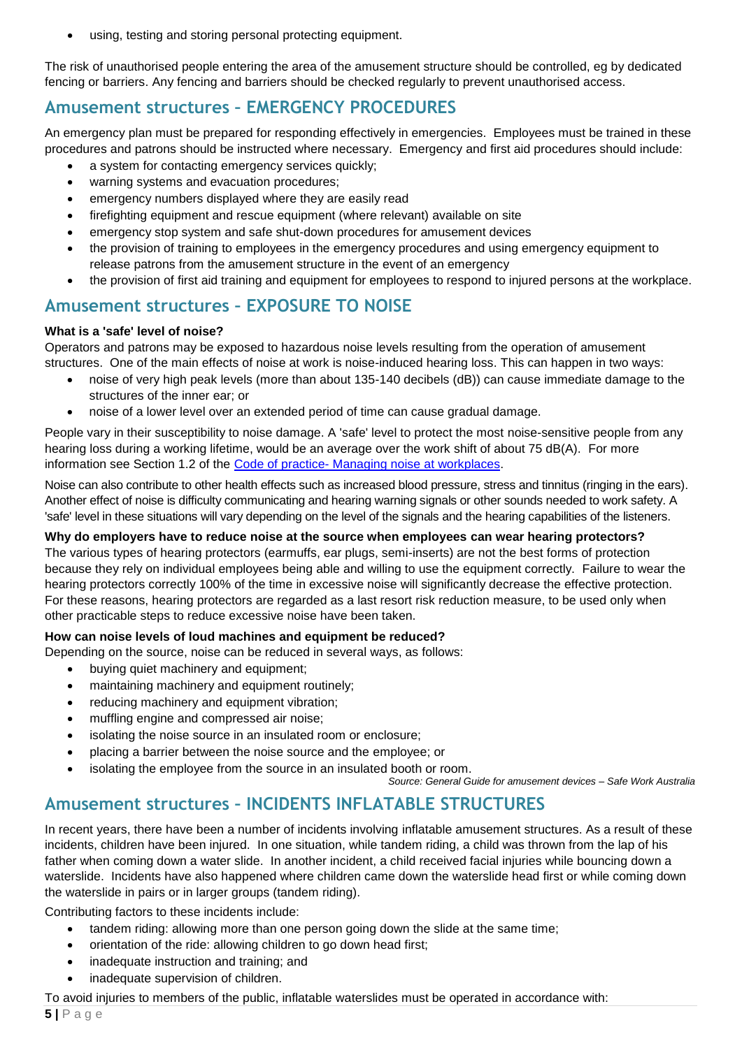using, testing and storing personal protecting equipment.

The risk of unauthorised people entering the area of the amusement structure should be controlled, eg by dedicated fencing or barriers. Any fencing and barriers should be checked regularly to prevent unauthorised access.

### **Amusement structures – EMERGENCY PROCEDURES**

An emergency plan must be prepared for responding effectively in emergencies. Employees must be trained in these procedures and patrons should be instructed where necessary. Emergency and first aid procedures should include:

- a system for contacting emergency services quickly;
- warning systems and evacuation procedures;
- emergency numbers displayed where they are easily read
- firefighting equipment and rescue equipment (where relevant) available on site
- emergency stop system and safe shut-down procedures for amusement devices
- the provision of training to employees in the emergency procedures and using emergency equipment to release patrons from the amusement structure in the event of an emergency
- the provision of first aid training and equipment for employees to respond to injured persons at the workplace.

### **Amusement structures – EXPOSURE TO NOISE**

#### **What is a 'safe' level of noise?**

Operators and patrons may be exposed to hazardous noise levels resulting from the operation of amusement structures. One of the main effects of noise at work is noise-induced hearing loss. This can happen in two ways:

- noise of very high peak levels (more than about 135-140 decibels (dB)) can cause immediate damage to the structures of the inner ear; or
- noise of a lower level over an extended period of time can cause gradual damage.

People vary in their susceptibility to noise damage. A 'safe' level to protect the most noise-sensitive people from any hearing loss during a working lifetime, would be an average over the work shift of about 75 dB(A). For more information see Section 1.2 of the [Code of practice-](https://www.commerce.wa.gov.au/publications/code-practice-managing-noise-workplaces) Managing noise at workplaces.

Noise can also contribute to other health effects such as increased blood pressure, stress and tinnitus (ringing in the ears). Another effect of noise is difficulty communicating and hearing warning signals or other sounds needed to work safety. A 'safe' level in these situations will vary depending on the level of the signals and the hearing capabilities of the listeners.

#### **Why do employers have to reduce noise at the source when employees can wear hearing protectors?**

The various types of hearing protectors (earmuffs, ear plugs, semi-inserts) are not the best forms of protection because they rely on individual employees being able and willing to use the equipment correctly. Failure to wear the hearing protectors correctly 100% of the time in excessive noise will significantly decrease the effective protection. For these reasons, hearing protectors are regarded as a last resort risk reduction measure, to be used only when other practicable steps to reduce excessive noise have been taken.

#### **How can noise levels of loud machines and equipment be reduced?**

Depending on the source, noise can be reduced in several ways, as follows:

- buying quiet machinery and equipment;
- maintaining machinery and equipment routinely;
- reducing machinery and equipment vibration;
- muffling engine and compressed air noise;
- isolating the noise source in an insulated room or enclosure;
- placing a barrier between the noise source and the employee; or
- isolating the employee from the source in an insulated booth or room.

*Source: General Guide for amusement devices – Safe Work Australia*

### **Amusement structures – INCIDENTS INFLATABLE STRUCTURES**

In recent years, there have been a number of incidents involving inflatable amusement structures. As a result of these incidents, children have been injured. In one situation, while tandem riding, a child was thrown from the lap of his father when coming down a water slide. In another incident, a child received facial injuries while bouncing down a waterslide. Incidents have also happened where children came down the waterslide head first or while coming down the waterslide in pairs or in larger groups (tandem riding).

Contributing factors to these incidents include:

- tandem riding: allowing more than one person going down the slide at the same time;
- orientation of the ride: allowing children to go down head first;
- inadequate instruction and training; and
- inadequate supervision of children.

To avoid injuries to members of the public, inflatable waterslides must be operated in accordance with: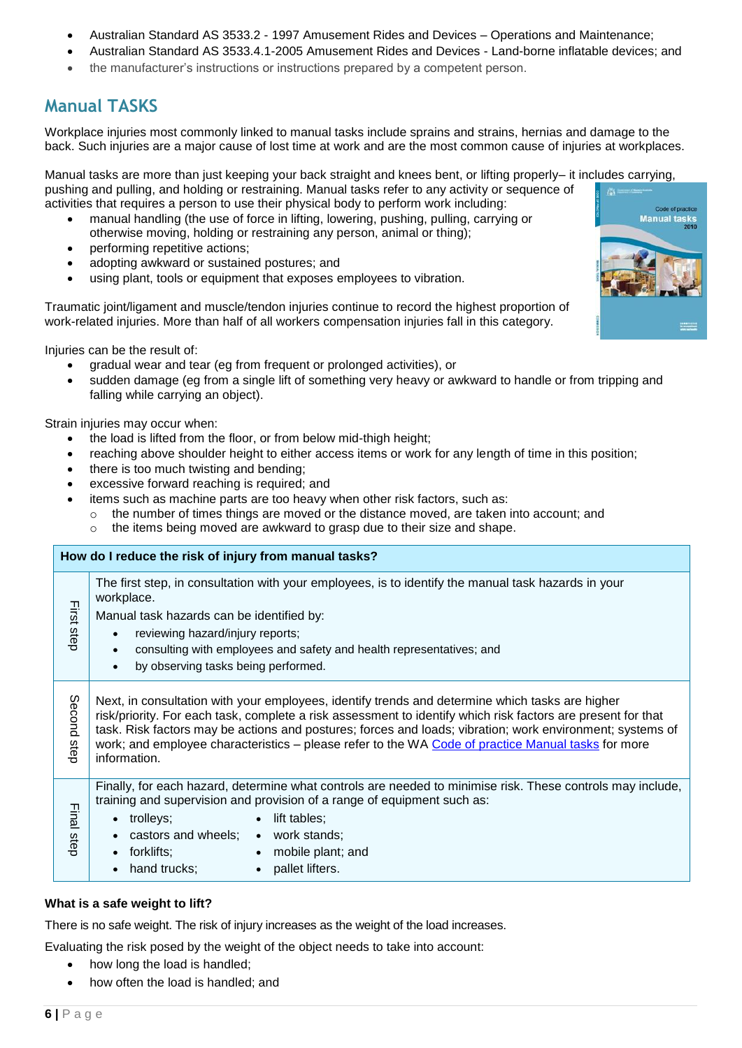- Australian Standard AS 3533.2 1997 Amusement Rides and Devices Operations and Maintenance;
- Australian Standard AS 3533.4.1-2005 Amusement Rides and Devices Land-borne inflatable devices; and
- the manufacturer's instructions or instructions prepared by a competent person.

# **Manual TASKS**

Workplace injuries most commonly linked to manual tasks include sprains and strains, hernias and damage to the back. Such injuries are a major cause of lost time at work and are the most common cause of injuries at workplaces.

Manual tasks are more than just keeping your back straight and knees bent, or lifting properly– it includes carrying, pushing and pulling, and holding or restraining. Manual tasks refer to any activity or sequence of

- activities that requires a person to use their physical body to perform work including: manual handling (the use of force in lifting, lowering, pushing, pulling, carrying or otherwise moving, holding or restraining any person, animal or thing);
	- performing repetitive actions;
	- adopting awkward or sustained postures; and
	- using plant, tools or equipment that exposes employees to vibration.

Traumatic joint/ligament and muscle/tendon injuries continue to record the highest proportion of work-related injuries. More than half of all workers compensation injuries fall in this category.

Injuries can be the result of:

- gradual wear and tear (eg from frequent or prolonged activities), or
- sudden damage (eg from a single lift of something very heavy or awkward to handle or from tripping and falling while carrying an object).

Strain injuries may occur when:

- the load is lifted from the floor, or from below mid-thigh height;
- reaching above shoulder height to either access items or work for any length of time in this position;
- there is too much twisting and bending;
- excessive forward reaching is required; and
- items such as machine parts are too heavy when other risk factors, such as:
- $\circ$  the number of times things are moved or the distance moved, are taken into account; and o the items being moved are awkward to grasp due to their size and shape.
- **How do I reduce the risk of injury from manual tasks?** The first step, in consultation with your employees, is to identify the manual task hazards in your workplace. First step Manual task hazards can be identified by: • reviewing hazard/injury reports; consulting with employees and safety and health representatives; and by observing tasks being performed. Second Next, in consultation with your employees, identify trends and determine which tasks are higher Second step risk/priority. For each task, complete a risk assessment to identify which risk factors are present for that task. Risk factors may be actions and postures; forces and loads; vibration; work environment; systems of step work; and employee characteristics – please refer to the WA [Code of practice Manual tasks](http://www.commerce.wa.gov.au/sites/default/files/atoms/files/manual_tasks.pdf) for more information. Finally, for each hazard, determine what controls are needed to minimise risk. These controls may include, training and supervision and provision of a range of equipment such as: Final step • trollevs: • lift tables: castors and wheels; • work stands: forklifts; mobile plant; and • hand trucks: • pallet lifters.

#### **What is a safe weight to lift?**

There is no safe weight. The risk of injury increases as the weight of the load increases.

Evaluating the risk posed by the weight of the object needs to take into account:

- how long the load is handled;
- how often the load is handled; and

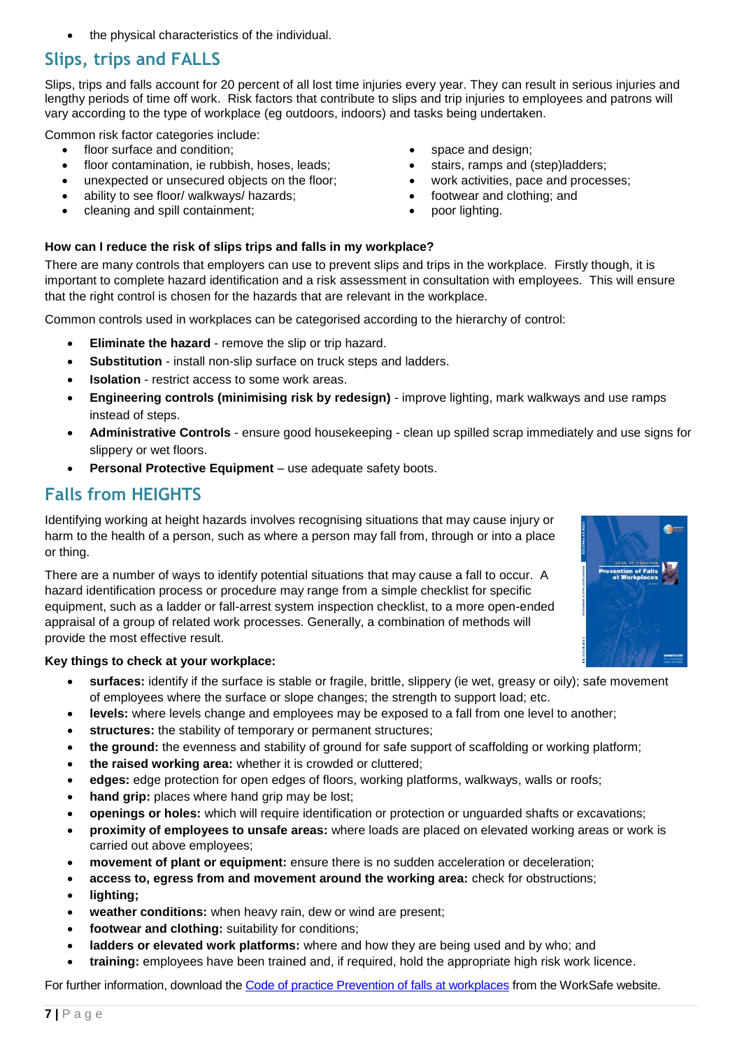the physical characteristics of the individual.

# **Slips, trips and FALLS**

Slips, trips and falls account for 20 percent of all lost time injuries every year. They can result in serious injuries and lengthy periods of time off work. Risk factors that contribute to slips and trip injuries to employees and patrons will vary according to the type of workplace (eg outdoors, indoors) and tasks being undertaken.

Common risk factor categories include:

- floor surface and condition:
- floor contamination, ie rubbish, hoses, leads;
- unexpected or unsecured objects on the floor;
- ability to see floor/ walkways/ hazards;
- cleaning and spill containment;
- space and design;
- stairs, ramps and (step)ladders;
- work activities, pace and processes;
- footwear and clothing; and
- poor lighting.

#### **How can I reduce the risk of slips trips and falls in my workplace?**

There are many controls that employers can use to prevent slips and trips in the workplace. Firstly though, it is important to complete hazard identification and a risk assessment in consultation with employees. This will ensure that the right control is chosen for the hazards that are relevant in the workplace.

Common controls used in workplaces can be categorised according to the hierarchy of control:

- **Eliminate the hazard** remove the slip or trip hazard.
- **Substitution** install non-slip surface on truck steps and ladders.
- **Isolation**  restrict access to some work areas.
- **Engineering controls (minimising risk by redesign)** improve lighting, mark walkways and use ramps instead of steps.
- **Administrative Controls** ensure good housekeeping clean up spilled scrap immediately and use signs for slippery or wet floors.
- **Personal Protective Equipment** use adequate safety boots.

### **Falls from HEIGHTS**

Identifying working at height hazards involves recognising situations that may cause injury or harm to the health of a person, such as where a person may fall from, through or into a place or thing.

There are a number of ways to identify potential situations that may cause a fall to occur. A hazard identification process or procedure may range from a simple checklist for specific equipment, such as a ladder or fall-arrest system inspection checklist, to a more open-ended appraisal of a group of related work processes. Generally, a combination of methods will provide the most effective result.

#### **Key things to check at your workplace:**

- **surfaces:** identify if the surface is stable or fragile, brittle, slippery (ie wet, greasy or oily); safe movement of employees where the surface or slope changes; the strength to support load; etc.
- **levels:** where levels change and employees may be exposed to a fall from one level to another;
- **structures:** the stability of temporary or permanent structures;
- **the ground:** the evenness and stability of ground for safe support of scaffolding or working platform;
- **the raised working area:** whether it is crowded or cluttered;
- **edges:** edge protection for open edges of floors, working platforms, walkways, walls or roofs;
- **hand grip:** places where hand grip may be lost;
- **openings or holes:** which will require identification or protection or unguarded shafts or excavations;
- **proximity of employees to unsafe areas:** where loads are placed on elevated working areas or work is carried out above employees;
- **movement of plant or equipment:** ensure there is no sudden acceleration or deceleration;
- **access to, egress from and movement around the working area:** check for obstructions;
- **lighting;**
- **weather conditions:** when heavy rain, dew or wind are present;
- **footwear and clothing:** suitability for conditions;
- **ladders or elevated work platforms:** where and how they are being used and by who; and
- **training:** employees have been trained and, if required, hold the appropriate high risk work licence.

For further information, download the [Code of practice Prevention of falls at workplaces](http://www.commerce.wa.gov.au/sites/default/files/atoms/files/code_falls.pdf) from the WorkSafe website.

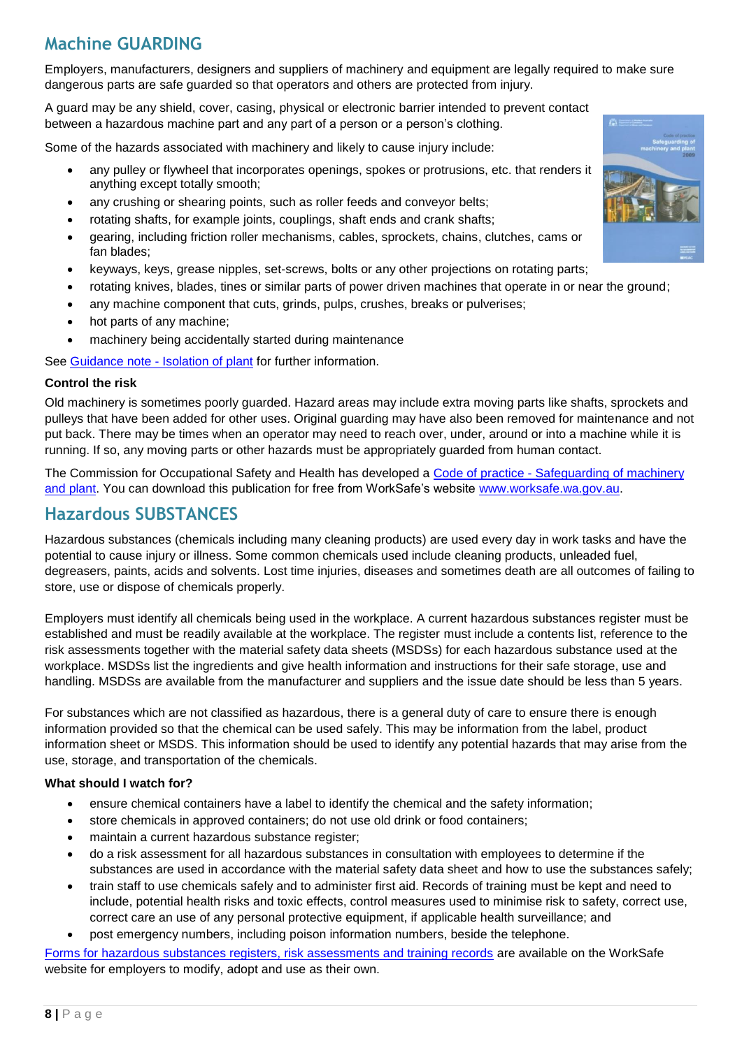# **Machine GUARDING**

Employers, manufacturers, designers and suppliers of machinery and equipment are legally required to make sure dangerous parts are safe guarded so that operators and others are protected from injury.

A guard may be any shield, cover, casing, physical or electronic barrier intended to prevent contact between a hazardous machine part and any part of a person or a person's clothing.

Some of the hazards associated with machinery and likely to cause injury include:

- any pulley or flywheel that incorporates openings, spokes or protrusions, etc. that renders it anything except totally smooth;
- any crushing or shearing points, such as roller feeds and conveyor belts;
- rotating shafts, for example joints, couplings, shaft ends and crank shafts;
- gearing, including friction roller mechanisms, cables, sprockets, chains, clutches, cams or fan blades;
- keyways, keys, grease nipples, set-screws, bolts or any other projections on rotating parts;
- rotating knives, blades, tines or similar parts of power driven machines that operate in or near the ground;
- any machine component that cuts, grinds, pulps, crushes, breaks or pulverises;
- hot parts of any machine;
- machinery being accidentally started during maintenance

See [Guidance note -](https://www.commerce.wa.gov.au/publications/guidance-note-isolation-plant) Isolation of plant for further information.

#### **Control the risk**

Old machinery is sometimes poorly guarded. Hazard areas may include extra moving parts like shafts, sprockets and pulleys that have been added for other uses. Original guarding may have also been removed for maintenance and not put back. There may be times when an operator may need to reach over, under, around or into a machine while it is running. If so, any moving parts or other hazards must be appropriately guarded from human contact.

The Commission for Occupational Safety and Health has developed a [Code of practice -](http://www.commerce.wa.gov.au/sites/default/files/atoms/files/safeguarding_of_machinery_and_plant.pdf) Safeguarding of machinery and [plant.](http://www.commerce.wa.gov.au/sites/default/files/atoms/files/safeguarding_of_machinery_and_plant.pdf) You can download this publication for free from WorkSafe's website [www.worksafe.wa.gov.au.](http://www.worksafe.wa.gov.au/)

### **Hazardous SUBSTANCES**

Hazardous substances (chemicals including many cleaning products) are used every day in work tasks and have the potential to cause injury or illness. Some common chemicals used include cleaning products, unleaded fuel, degreasers, paints, acids and solvents. Lost time injuries, diseases and sometimes death are all outcomes of failing to store, use or dispose of chemicals properly.

Employers must identify all chemicals being used in the workplace. A current hazardous substances register must be established and must be readily available at the workplace. The register must include a contents list, reference to the risk assessments together with the material safety data sheets (MSDSs) for each hazardous substance used at the workplace. MSDSs list the ingredients and give health information and instructions for their safe storage, use and handling. MSDSs are available from the manufacturer and suppliers and the issue date should be less than 5 years.

For substances which are not classified as hazardous, there is a general duty of care to ensure there is enough information provided so that the chemical can be used safely. This may be information from the label, product information sheet or MSDS. This information should be used to identify any potential hazards that may arise from the use, storage, and transportation of the chemicals.

#### **What should I watch for?**

- ensure chemical containers have a label to identify the chemical and the safety information;
- store chemicals in approved containers; do not use old drink or food containers;
- maintain a current hazardous substance register;
- do a risk assessment for all hazardous substances in consultation with employees to determine if the substances are used in accordance with the material safety data sheet and how to use the substances safely;
- train staff to use chemicals safely and to administer first aid. Records of training must be kept and need to include, potential health risks and toxic effects, control measures used to minimise risk to safety, correct use, correct care an use of any personal protective equipment, if applicable health surveillance; and
- post emergency numbers, including poison information numbers, beside the telephone.

[Forms for hazardous substances registers, risk assessments and training records](http://www.commerce.wa.gov.au/worksafe/forms-hazardous-substances-registers-and-risk-assessments) are available on the WorkSafe website for employers to modify, adopt and use as their own.

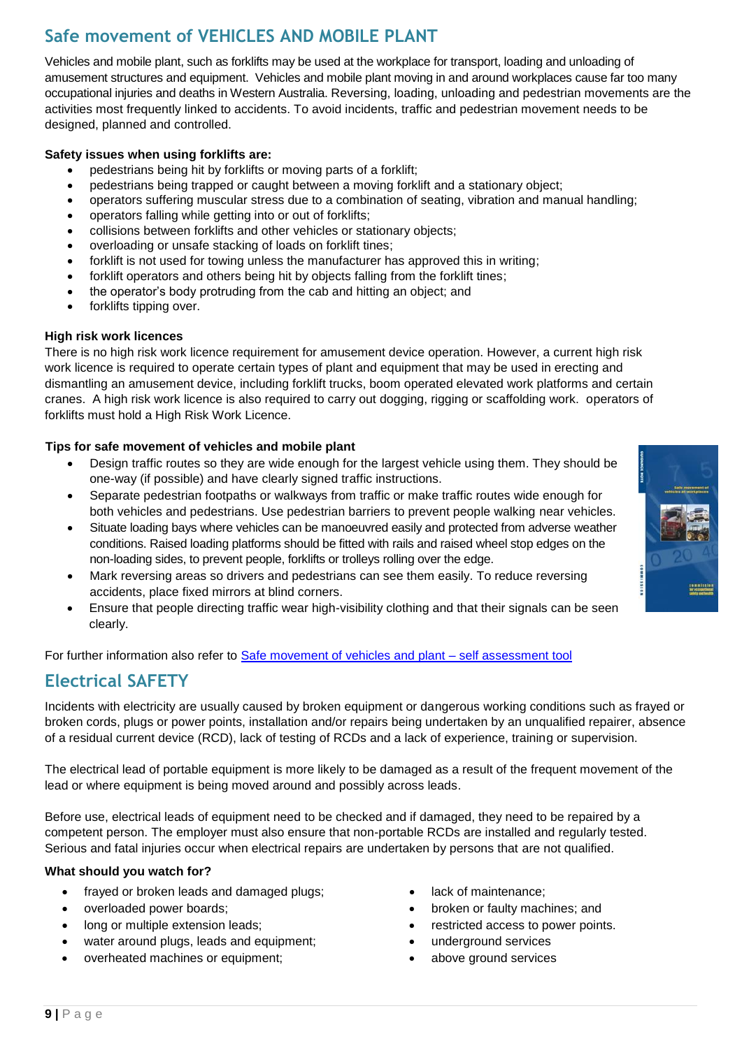# **Safe movement of VEHICLES AND MOBILE PLANT**

Vehicles and mobile plant, such as forklifts may be used at the workplace for transport, loading and unloading of amusement structures and equipment. Vehicles and mobile plant moving in and around workplaces cause far too many occupational injuries and deaths in Western Australia. Reversing, loading, unloading and pedestrian movements are the activities most frequently linked to accidents. To avoid incidents, traffic and pedestrian movement needs to be designed, planned and controlled.

#### **Safety issues when using forklifts are:**

- pedestrians being hit by forklifts or moving parts of a forklift;
- pedestrians being trapped or caught between a moving forklift and a stationary object;
- operators suffering muscular stress due to a combination of seating, vibration and manual handling;
- operators falling while getting into or out of forklifts;
- collisions between forklifts and other vehicles or stationary objects;
- overloading or unsafe stacking of loads on forklift tines;
- forklift is not used for towing unless the manufacturer has approved this in writing;
- forklift operators and others being hit by objects falling from the forklift tines;
- the operator's body protruding from the cab and hitting an object; and
- forklifts tipping over.

#### **High risk work licences**

There is no high risk work licence requirement for amusement device operation. However, a current high risk work licence is required to operate certain types of plant and equipment that may be used in erecting and dismantling an amusement device, including forklift trucks, boom operated elevated work platforms and certain cranes. A high risk work licence is also required to carry out dogging, rigging or scaffolding work. operators of forklifts must hold a High Risk Work Licence.

#### **Tips for safe movement of vehicles and mobile plant**

- Design traffic routes so they are wide enough for the largest vehicle using them. They should be one-way (if possible) and have clearly signed traffic instructions.
- Separate pedestrian footpaths or walkways from traffic or make traffic routes wide enough for both vehicles and pedestrians. Use pedestrian barriers to prevent people walking near vehicles.
- Situate loading bays where vehicles can be manoeuvred easily and protected from adverse weather conditions. Raised loading platforms should be fitted with rails and raised wheel stop edges on the non-loading sides, to prevent people, forklifts or trolleys rolling over the edge.
- Mark reversing areas so drivers and pedestrians can see them easily. To reduce reversing accidents, place fixed mirrors at blind corners.
- Ensure that people directing traffic wear high-visibility clothing and that their signals can be seen clearly.

For further information also refer to [Safe movement of vehicles and plant –](http://www.commerce.wa.gov.au/publications/safe-movement-vehicles-and-mobile-plant) self assessment tool

### **Electrical SAFETY**

Incidents with electricity are usually caused by broken equipment or dangerous working conditions such as frayed or broken cords, plugs or power points, installation and/or repairs being undertaken by an unqualified repairer, absence of a residual current device (RCD), lack of testing of RCDs and a lack of experience, training or supervision.

The electrical lead of portable equipment is more likely to be damaged as a result of the frequent movement of the lead or where equipment is being moved around and possibly across leads.

Before use, electrical leads of equipment need to be checked and if damaged, they need to be repaired by a competent person. The employer must also ensure that non-portable RCDs are installed and regularly tested. Serious and fatal injuries occur when electrical repairs are undertaken by persons that are not qualified.

#### **What should you watch for?**

- frayed or broken leads and damaged plugs;
- overloaded power boards;
- long or multiple extension leads;
- water around plugs, leads and equipment;
- overheated machines or equipment;
- lack of maintenance;
- broken or faulty machines; and
- restricted access to power points.
- underground services
- above ground services

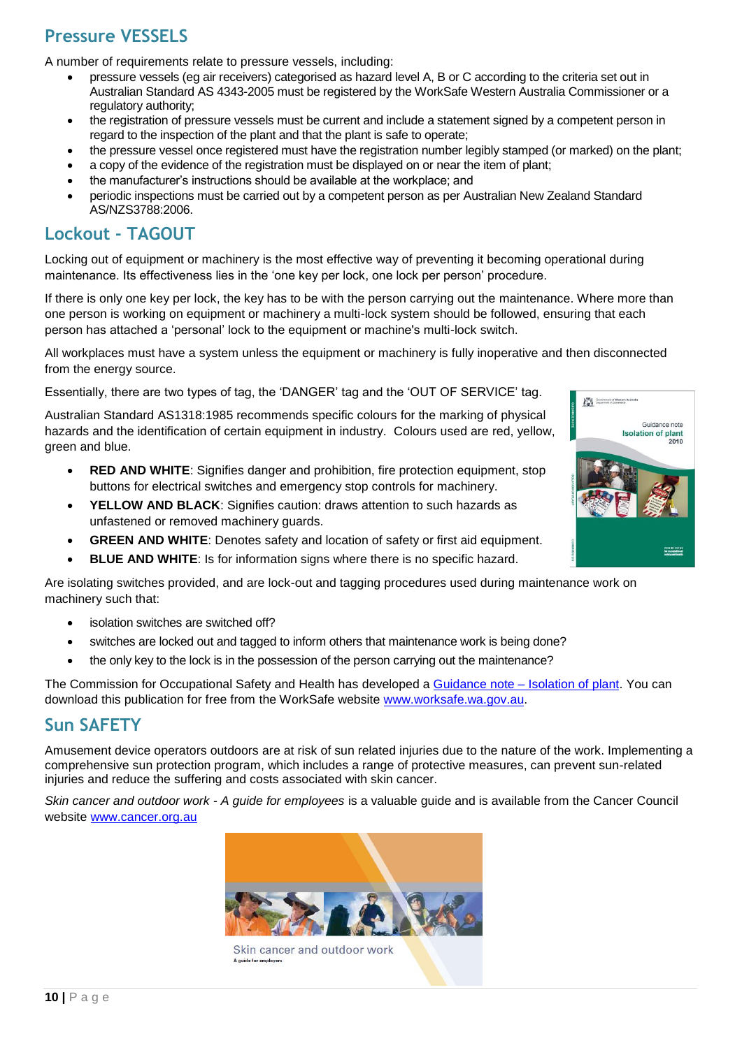# **Pressure VESSELS**

A number of requirements relate to pressure vessels, including:

- pressure vessels (eg air receivers) categorised as hazard level A, B or C according to the criteria set out in Australian Standard AS 4343-2005 must be registered by the WorkSafe Western Australia Commissioner or a regulatory authority;
- the registration of pressure vessels must be current and include a statement signed by a competent person in regard to the inspection of the plant and that the plant is safe to operate;
- the pressure vessel once registered must have the registration number legibly stamped (or marked) on the plant;
- a copy of the evidence of the registration must be displayed on or near the item of plant;
- the manufacturer's instructions should be available at the workplace; and
- periodic inspections must be carried out by a competent person as per Australian New Zealand Standard AS/NZS3788:2006.

### **Lockout - TAGOUT**

Locking out of equipment or machinery is the most effective way of preventing it becoming operational during maintenance. Its effectiveness lies in the 'one key per lock, one lock per person' procedure.

If there is only one key per lock, the key has to be with the person carrying out the maintenance. Where more than one person is working on equipment or machinery a multi-lock system should be followed, ensuring that each person has attached a 'personal' lock to the equipment or machine's multi-lock switch.

All workplaces must have a system unless the equipment or machinery is fully inoperative and then disconnected from the energy source.

Essentially, there are two types of tag, the 'DANGER' tag and the 'OUT OF SERVICE' tag.

Australian Standard AS1318:1985 recommends specific colours for the marking of physical hazards and the identification of certain equipment in industry. Colours used are red, yellow, green and blue.

- **RED AND WHITE**: Signifies danger and prohibition, fire protection equipment, stop buttons for electrical switches and emergency stop controls for machinery.
- **YELLOW AND BLACK**: Signifies caution: draws attention to such hazards as unfastened or removed machinery guards.
- **GREEN AND WHITE**: Denotes safety and location of safety or first aid equipment.
- **BLUE AND WHITE**: Is for information signs where there is no specific hazard.

Are isolating switches provided, and are lock-out and tagging procedures used during maintenance work on machinery such that:

- isolation switches are switched off?
- switches are locked out and tagged to inform others that maintenance work is being done?
- the only key to the lock is in the possession of the person carrying out the maintenance?

The Commission for Occupational Safety and Health has developed a [Guidance](https://www.commerce.wa.gov.au/publications/guidance-note-isolation-plant) note – Isolation of plant. You can download this publication for free from the WorkSafe website [www.worksafe.wa.gov.au.](http://www.worksafe.wa.gov.au/)

### **Sun SAFETY**

Amusement device operators outdoors are at risk of sun related injuries due to the nature of the work. Implementing a comprehensive sun protection program, which includes a range of protective measures, can prevent sun-related injuries and reduce the suffering and costs associated with skin cancer.

*Skin cancer and outdoor work - A guide for employees* is a valuable guide and is available from the Cancer Council website [www.cancer.org.au](http://www.cancer.org.au/)



Skin cancer and outdoor work

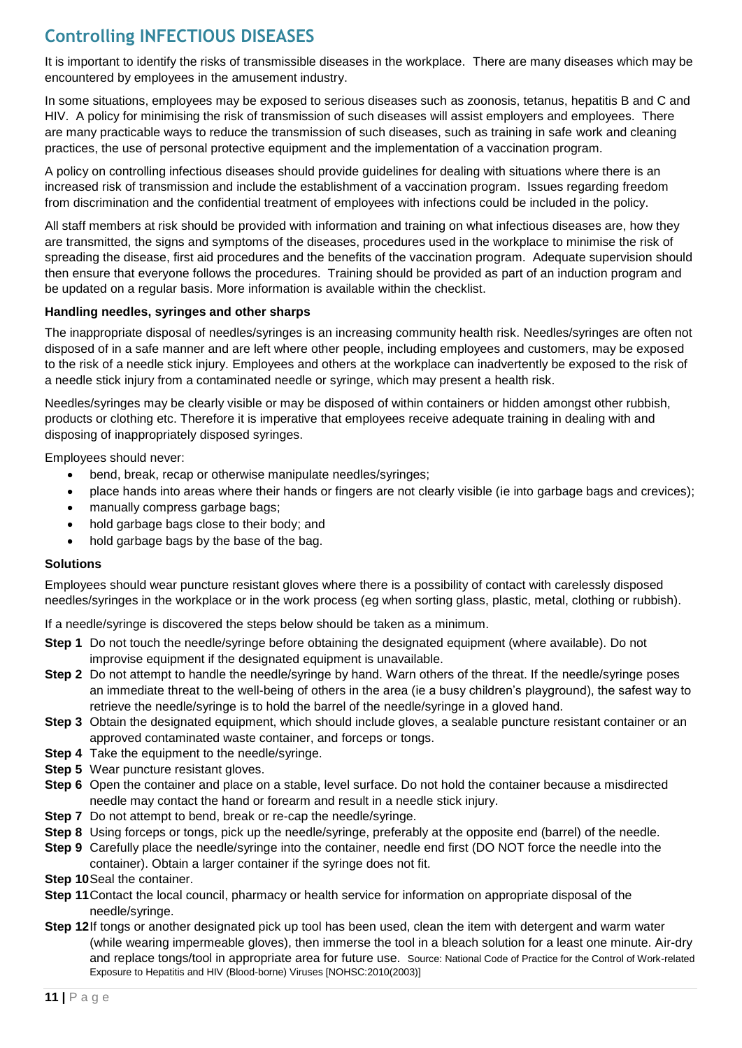# **Controlling INFECTIOUS DISEASES**

It is important to identify the risks of transmissible diseases in the workplace. There are many diseases which may be encountered by employees in the amusement industry.

In some situations, employees may be exposed to serious diseases such as zoonosis, tetanus, hepatitis B and C and HIV. A policy for minimising the risk of transmission of such diseases will assist employers and employees. There are many practicable ways to reduce the transmission of such diseases, such as training in safe work and cleaning practices, the use of personal protective equipment and the implementation of a vaccination program.

A policy on controlling infectious diseases should provide guidelines for dealing with situations where there is an increased risk of transmission and include the establishment of a vaccination program. Issues regarding freedom from discrimination and the confidential treatment of employees with infections could be included in the policy.

All staff members at risk should be provided with information and training on what infectious diseases are, how they are transmitted, the signs and symptoms of the diseases, procedures used in the workplace to minimise the risk of spreading the disease, first aid procedures and the benefits of the vaccination program. Adequate supervision should then ensure that everyone follows the procedures. Training should be provided as part of an induction program and be updated on a regular basis. More information is available within the checklist.

#### **Handling needles, syringes and other sharps**

The inappropriate disposal of needles/syringes is an increasing community health risk. Needles/syringes are often not disposed of in a safe manner and are left where other people, including employees and customers, may be exposed to the risk of a needle stick injury. Employees and others at the workplace can inadvertently be exposed to the risk of a needle stick injury from a contaminated needle or syringe, which may present a health risk.

Needles/syringes may be clearly visible or may be disposed of within containers or hidden amongst other rubbish, products or clothing etc. Therefore it is imperative that employees receive adequate training in dealing with and disposing of inappropriately disposed syringes.

Employees should never:

- bend, break, recap or otherwise manipulate needles/syringes;
- place hands into areas where their hands or fingers are not clearly visible (ie into garbage bags and crevices);
- manually compress garbage bags;
- hold garbage bags close to their body; and
- hold garbage bags by the base of the bag.

#### **Solutions**

Employees should wear puncture resistant gloves where there is a possibility of contact with carelessly disposed needles/syringes in the workplace or in the work process (eg when sorting glass, plastic, metal, clothing or rubbish).

If a needle/syringe is discovered the steps below should be taken as a minimum.

- **Step 1** Do not touch the needle/syringe before obtaining the designated equipment (where available). Do not improvise equipment if the designated equipment is unavailable.
- **Step 2** Do not attempt to handle the needle/syringe by hand. Warn others of the threat. If the needle/syringe poses an immediate threat to the well-being of others in the area (ie a busy children's playground), the safest way to retrieve the needle/syringe is to hold the barrel of the needle/syringe in a gloved hand.
- **Step 3** Obtain the designated equipment, which should include gloves, a sealable puncture resistant container or an approved contaminated waste container, and forceps or tongs.
- **Step 4** Take the equipment to the needle/syringe.
- **Step 5** Wear puncture resistant gloves.
- **Step 6** Open the container and place on a stable, level surface. Do not hold the container because a misdirected needle may contact the hand or forearm and result in a needle stick injury.
- **Step 7** Do not attempt to bend, break or re-cap the needle/syringe.
- **Step 8** Using forceps or tongs, pick up the needle/syringe, preferably at the opposite end (barrel) of the needle.
- **Step 9** Carefully place the needle/syringe into the container, needle end first (DO NOT force the needle into the container). Obtain a larger container if the syringe does not fit.
- **Step 10**Seal the container.
- **Step 11**Contact the local council, pharmacy or health service for information on appropriate disposal of the needle/syringe.
- **Step 12**If tongs or another designated pick up tool has been used, clean the item with detergent and warm water (while wearing impermeable gloves), then immerse the tool in a bleach solution for a least one minute. Air-dry and replace tongs/tool in appropriate area for future use. Source: National Code of Practice for the Control of Work-related Exposure to Hepatitis and HIV (Blood-borne) Viruses [NOHSC:2010(2003)]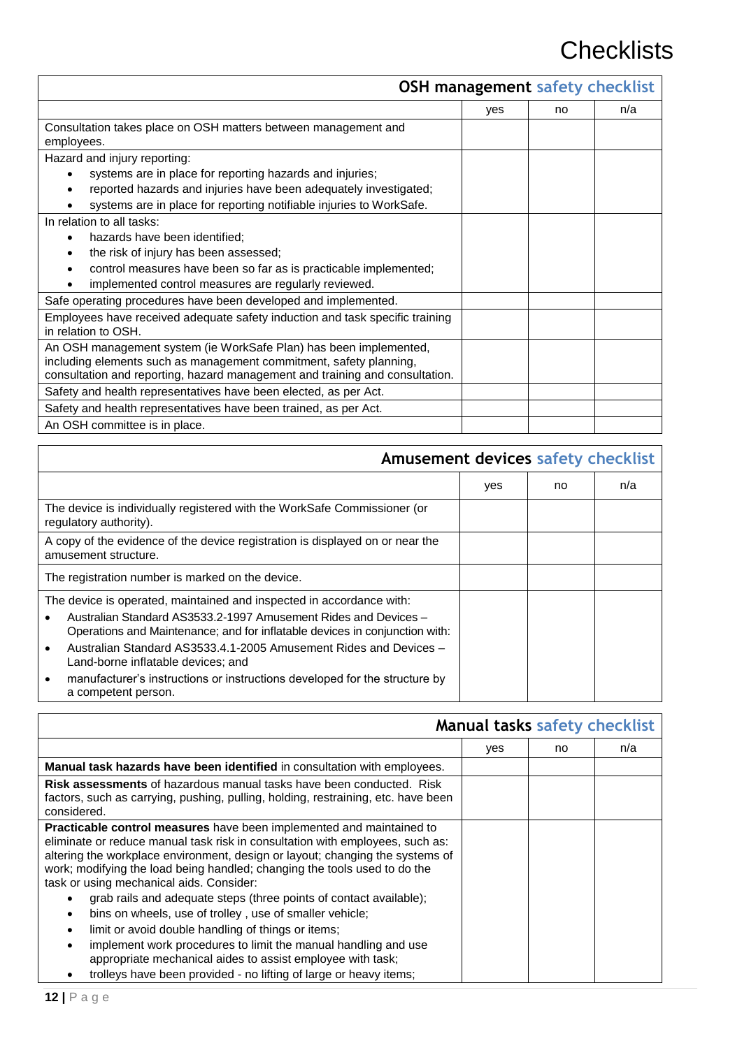# **Checklists**

|                                                                              |     | <b>OSH management safety checklist</b> |     |
|------------------------------------------------------------------------------|-----|----------------------------------------|-----|
|                                                                              | yes | no                                     | n/a |
| Consultation takes place on OSH matters between management and               |     |                                        |     |
| employees.                                                                   |     |                                        |     |
| Hazard and injury reporting:                                                 |     |                                        |     |
| systems are in place for reporting hazards and injuries;                     |     |                                        |     |
| reported hazards and injuries have been adequately investigated;             |     |                                        |     |
| systems are in place for reporting notifiable injuries to WorkSafe.          |     |                                        |     |
| In relation to all tasks:                                                    |     |                                        |     |
| hazards have been identified;                                                |     |                                        |     |
| the risk of injury has been assessed;                                        |     |                                        |     |
| control measures have been so far as is practicable implemented;             |     |                                        |     |
| implemented control measures are regularly reviewed.                         |     |                                        |     |
| Safe operating procedures have been developed and implemented.               |     |                                        |     |
| Employees have received adequate safety induction and task specific training |     |                                        |     |
| in relation to OSH.                                                          |     |                                        |     |
| An OSH management system (ie WorkSafe Plan) has been implemented,            |     |                                        |     |
| including elements such as management commitment, safety planning,           |     |                                        |     |
| consultation and reporting, hazard management and training and consultation. |     |                                        |     |
| Safety and health representatives have been elected, as per Act.             |     |                                        |     |
| Safety and health representatives have been trained, as per Act.             |     |                                        |     |
| An OSH committee is in place.                                                |     |                                        |     |

| <b>Amusement devices safety checklist</b>                                                                                                                                                                                                                                                                                                                                                                                              |     |    |     |
|----------------------------------------------------------------------------------------------------------------------------------------------------------------------------------------------------------------------------------------------------------------------------------------------------------------------------------------------------------------------------------------------------------------------------------------|-----|----|-----|
|                                                                                                                                                                                                                                                                                                                                                                                                                                        | yes | no | n/a |
| The device is individually registered with the WorkSafe Commissioner (or<br>regulatory authority).                                                                                                                                                                                                                                                                                                                                     |     |    |     |
| A copy of the evidence of the device registration is displayed on or near the<br>amusement structure.                                                                                                                                                                                                                                                                                                                                  |     |    |     |
| The registration number is marked on the device.                                                                                                                                                                                                                                                                                                                                                                                       |     |    |     |
| The device is operated, maintained and inspected in accordance with:<br>Australian Standard AS3533.2-1997 Amusement Rides and Devices -<br>Operations and Maintenance; and for inflatable devices in conjunction with:<br>Australian Standard AS3533.4.1-2005 Amusement Rides and Devices -<br>Land-borne inflatable devices; and<br>manufacturer's instructions or instructions developed for the structure by<br>a competent person. |     |    |     |

|                                                                                                                                                                                                                                                                                                                                                                                                                                                                                                                                                                                                                                                                                                                                                                              | Manual tasks safety checklist |    |     |
|------------------------------------------------------------------------------------------------------------------------------------------------------------------------------------------------------------------------------------------------------------------------------------------------------------------------------------------------------------------------------------------------------------------------------------------------------------------------------------------------------------------------------------------------------------------------------------------------------------------------------------------------------------------------------------------------------------------------------------------------------------------------------|-------------------------------|----|-----|
|                                                                                                                                                                                                                                                                                                                                                                                                                                                                                                                                                                                                                                                                                                                                                                              | yes                           | no | n/a |
| Manual task hazards have been identified in consultation with employees.                                                                                                                                                                                                                                                                                                                                                                                                                                                                                                                                                                                                                                                                                                     |                               |    |     |
| <b>Risk assessments</b> of hazardous manual tasks have been conducted. Risk<br>factors, such as carrying, pushing, pulling, holding, restraining, etc. have been<br>considered.                                                                                                                                                                                                                                                                                                                                                                                                                                                                                                                                                                                              |                               |    |     |
| <b>Practicable control measures</b> have been implemented and maintained to<br>eliminate or reduce manual task risk in consultation with employees, such as:<br>altering the workplace environment, design or layout; changing the systems of<br>work; modifying the load being handled; changing the tools used to do the<br>task or using mechanical aids. Consider:<br>grab rails and adequate steps (three points of contact available);<br>bins on wheels, use of trolley, use of smaller vehicle;<br>٠<br>limit or avoid double handling of things or items;<br>٠<br>implement work procedures to limit the manual handling and use<br>appropriate mechanical aides to assist employee with task;<br>trolleys have been provided - no lifting of large or heavy items; |                               |    |     |

ľ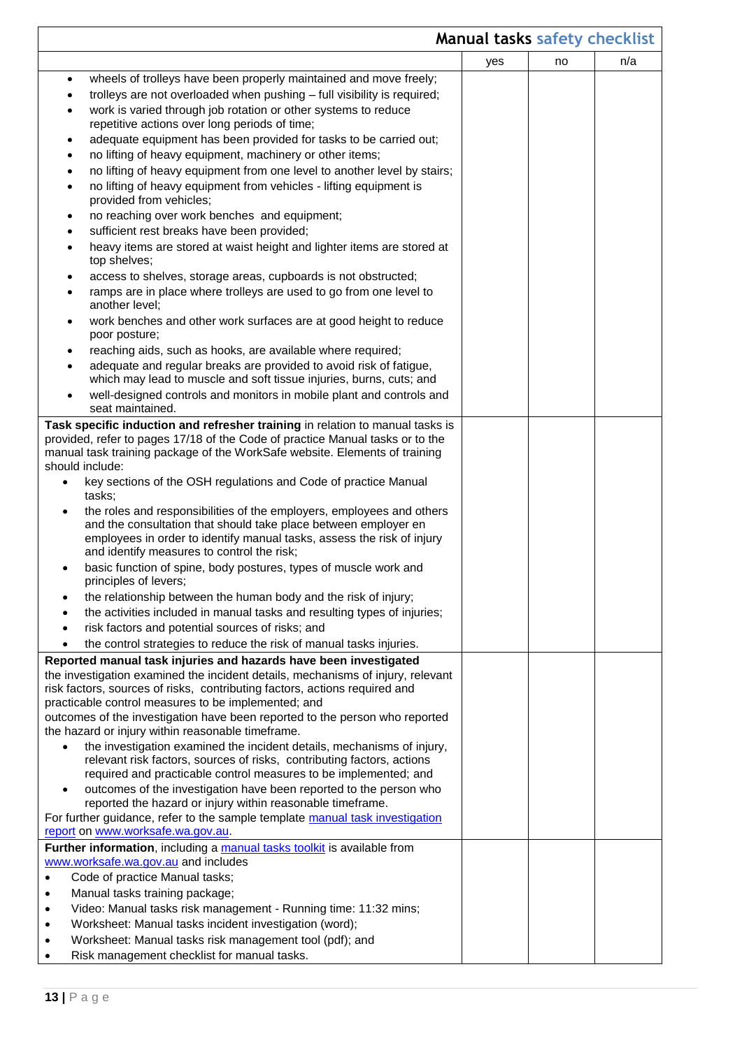|           | <b>Manual tasks safety checklist</b>                                                                                                                                                                               |     |    |     |
|-----------|--------------------------------------------------------------------------------------------------------------------------------------------------------------------------------------------------------------------|-----|----|-----|
|           |                                                                                                                                                                                                                    | yes | no | n/a |
| $\bullet$ | wheels of trolleys have been properly maintained and move freely;                                                                                                                                                  |     |    |     |
|           | trolleys are not overloaded when pushing - full visibility is required;                                                                                                                                            |     |    |     |
| $\bullet$ | work is varied through job rotation or other systems to reduce                                                                                                                                                     |     |    |     |
|           | repetitive actions over long periods of time;                                                                                                                                                                      |     |    |     |
| ٠         | adequate equipment has been provided for tasks to be carried out;                                                                                                                                                  |     |    |     |
| ٠         | no lifting of heavy equipment, machinery or other items;                                                                                                                                                           |     |    |     |
|           | no lifting of heavy equipment from one level to another level by stairs;                                                                                                                                           |     |    |     |
| $\bullet$ | no lifting of heavy equipment from vehicles - lifting equipment is                                                                                                                                                 |     |    |     |
|           | provided from vehicles;                                                                                                                                                                                            |     |    |     |
| ٠         | no reaching over work benches and equipment;                                                                                                                                                                       |     |    |     |
| ٠         | sufficient rest breaks have been provided;                                                                                                                                                                         |     |    |     |
| $\bullet$ | heavy items are stored at waist height and lighter items are stored at<br>top shelves;                                                                                                                             |     |    |     |
| ٠         | access to shelves, storage areas, cupboards is not obstructed;                                                                                                                                                     |     |    |     |
|           | ramps are in place where trolleys are used to go from one level to<br>another level;                                                                                                                               |     |    |     |
| ٠         | work benches and other work surfaces are at good height to reduce<br>poor posture;                                                                                                                                 |     |    |     |
| ٠         | reaching aids, such as hooks, are available where required;                                                                                                                                                        |     |    |     |
|           | adequate and regular breaks are provided to avoid risk of fatigue,                                                                                                                                                 |     |    |     |
|           | which may lead to muscle and soft tissue injuries, burns, cuts; and                                                                                                                                                |     |    |     |
|           | well-designed controls and monitors in mobile plant and controls and<br>seat maintained.                                                                                                                           |     |    |     |
|           | Task specific induction and refresher training in relation to manual tasks is                                                                                                                                      |     |    |     |
|           | provided, refer to pages 17/18 of the Code of practice Manual tasks or to the                                                                                                                                      |     |    |     |
|           | manual task training package of the WorkSafe website. Elements of training<br>should include:                                                                                                                      |     |    |     |
|           | key sections of the OSH regulations and Code of practice Manual                                                                                                                                                    |     |    |     |
|           | tasks;                                                                                                                                                                                                             |     |    |     |
|           | the roles and responsibilities of the employers, employees and others<br>and the consultation that should take place between employer en<br>employees in order to identify manual tasks, assess the risk of injury |     |    |     |
|           | and identify measures to control the risk;                                                                                                                                                                         |     |    |     |
|           | basic function of spine, body postures, types of muscle work and                                                                                                                                                   |     |    |     |
|           | principles of levers;                                                                                                                                                                                              |     |    |     |
|           | the relationship between the human body and the risk of injury;                                                                                                                                                    |     |    |     |
|           | the activities included in manual tasks and resulting types of injuries;                                                                                                                                           |     |    |     |
|           | risk factors and potential sources of risks; and                                                                                                                                                                   |     |    |     |
|           | the control strategies to reduce the risk of manual tasks injuries.                                                                                                                                                |     |    |     |
|           | Reported manual task injuries and hazards have been investigated                                                                                                                                                   |     |    |     |
|           | the investigation examined the incident details, mechanisms of injury, relevant                                                                                                                                    |     |    |     |
|           | risk factors, sources of risks, contributing factors, actions required and<br>practicable control measures to be implemented; and                                                                                  |     |    |     |
|           | outcomes of the investigation have been reported to the person who reported                                                                                                                                        |     |    |     |
|           | the hazard or injury within reasonable timeframe.                                                                                                                                                                  |     |    |     |
| $\bullet$ | the investigation examined the incident details, mechanisms of injury,                                                                                                                                             |     |    |     |
|           | relevant risk factors, sources of risks, contributing factors, actions                                                                                                                                             |     |    |     |
|           | required and practicable control measures to be implemented; and                                                                                                                                                   |     |    |     |
|           | outcomes of the investigation have been reported to the person who                                                                                                                                                 |     |    |     |
|           | reported the hazard or injury within reasonable timeframe.<br>For further guidance, refer to the sample template manual task investigation                                                                         |     |    |     |
|           | report on www.worksafe.wa.gov.au.                                                                                                                                                                                  |     |    |     |
|           | Further information, including a manual tasks toolkit is available from                                                                                                                                            |     |    |     |
|           | www.worksafe.wa.gov.au and includes                                                                                                                                                                                |     |    |     |
|           | Code of practice Manual tasks;                                                                                                                                                                                     |     |    |     |
| ٠         | Manual tasks training package;                                                                                                                                                                                     |     |    |     |
| ٠         | Video: Manual tasks risk management - Running time: 11:32 mins;                                                                                                                                                    |     |    |     |
| ٠         | Worksheet: Manual tasks incident investigation (word);                                                                                                                                                             |     |    |     |
|           | Worksheet: Manual tasks risk management tool (pdf); and                                                                                                                                                            |     |    |     |
|           | Risk management checklist for manual tasks.                                                                                                                                                                        |     |    |     |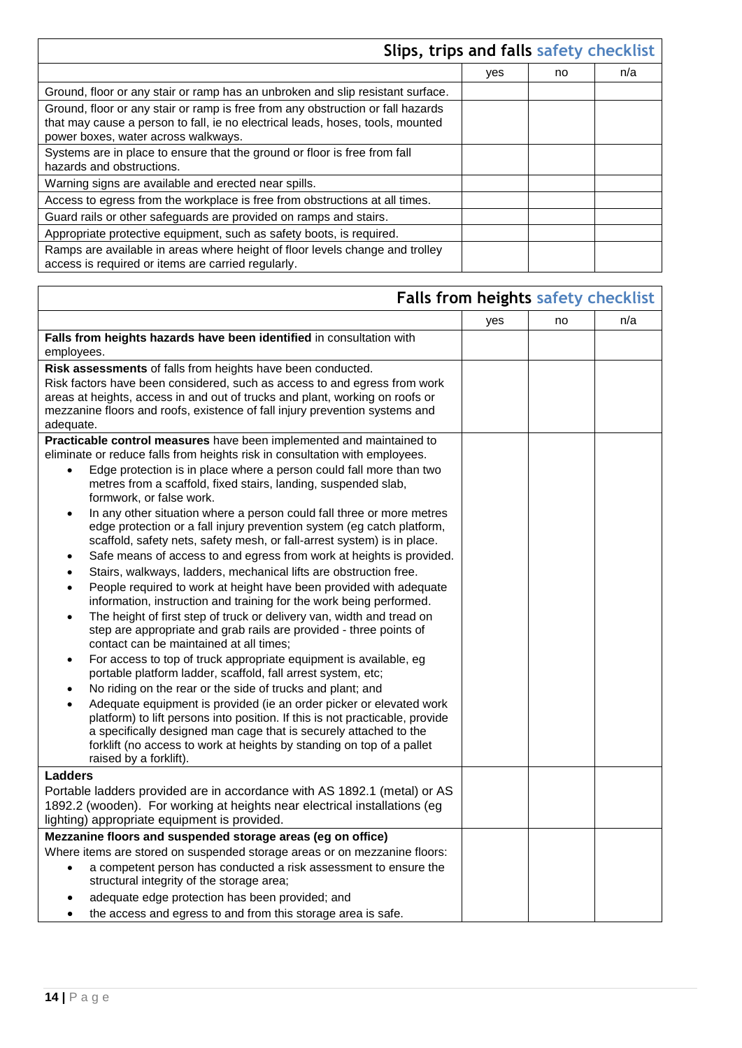|                                                                                                                                                                                                          | Slips, trips and falls safety checklist |    |     |
|----------------------------------------------------------------------------------------------------------------------------------------------------------------------------------------------------------|-----------------------------------------|----|-----|
|                                                                                                                                                                                                          | yes                                     | no | n/a |
| Ground, floor or any stair or ramp has an unbroken and slip resistant surface.                                                                                                                           |                                         |    |     |
| Ground, floor or any stair or ramp is free from any obstruction or fall hazards<br>that may cause a person to fall, ie no electrical leads, hoses, tools, mounted<br>power boxes, water across walkways. |                                         |    |     |
| Systems are in place to ensure that the ground or floor is free from fall<br>hazards and obstructions.                                                                                                   |                                         |    |     |
| Warning signs are available and erected near spills.                                                                                                                                                     |                                         |    |     |
| Access to egress from the workplace is free from obstructions at all times.                                                                                                                              |                                         |    |     |
| Guard rails or other safeguards are provided on ramps and stairs.                                                                                                                                        |                                         |    |     |
| Appropriate protective equipment, such as safety boots, is required.                                                                                                                                     |                                         |    |     |
| Ramps are available in areas where height of floor levels change and trolley<br>access is required or items are carried regularly.                                                                       |                                         |    |     |

|                                                                                                                                                          | Falls from heights safety checklist |    |     |
|----------------------------------------------------------------------------------------------------------------------------------------------------------|-------------------------------------|----|-----|
|                                                                                                                                                          | yes                                 | no | n/a |
| Falls from heights hazards have been identified in consultation with                                                                                     |                                     |    |     |
| employees.                                                                                                                                               |                                     |    |     |
| Risk assessments of falls from heights have been conducted.                                                                                              |                                     |    |     |
| Risk factors have been considered, such as access to and egress from work                                                                                |                                     |    |     |
| areas at heights, access in and out of trucks and plant, working on roofs or                                                                             |                                     |    |     |
| mezzanine floors and roofs, existence of fall injury prevention systems and<br>adequate.                                                                 |                                     |    |     |
|                                                                                                                                                          |                                     |    |     |
| Practicable control measures have been implemented and maintained to<br>eliminate or reduce falls from heights risk in consultation with employees.      |                                     |    |     |
| Edge protection is in place where a person could fall more than two<br>$\bullet$                                                                         |                                     |    |     |
| metres from a scaffold, fixed stairs, landing, suspended slab,                                                                                           |                                     |    |     |
| formwork, or false work.                                                                                                                                 |                                     |    |     |
| In any other situation where a person could fall three or more metres<br>$\bullet$                                                                       |                                     |    |     |
| edge protection or a fall injury prevention system (eg catch platform,                                                                                   |                                     |    |     |
| scaffold, safety nets, safety mesh, or fall-arrest system) is in place.                                                                                  |                                     |    |     |
| Safe means of access to and egress from work at heights is provided.<br>$\bullet$                                                                        |                                     |    |     |
| Stairs, walkways, ladders, mechanical lifts are obstruction free.<br>$\bullet$                                                                           |                                     |    |     |
| People required to work at height have been provided with adequate<br>$\bullet$                                                                          |                                     |    |     |
| information, instruction and training for the work being performed.                                                                                      |                                     |    |     |
| The height of first step of truck or delivery van, width and tread on<br>$\bullet$<br>step are appropriate and grab rails are provided - three points of |                                     |    |     |
| contact can be maintained at all times;                                                                                                                  |                                     |    |     |
| For access to top of truck appropriate equipment is available, eg<br>$\bullet$                                                                           |                                     |    |     |
| portable platform ladder, scaffold, fall arrest system, etc;                                                                                             |                                     |    |     |
| No riding on the rear or the side of trucks and plant; and<br>$\bullet$                                                                                  |                                     |    |     |
| Adequate equipment is provided (ie an order picker or elevated work<br>$\bullet$                                                                         |                                     |    |     |
| platform) to lift persons into position. If this is not practicable, provide                                                                             |                                     |    |     |
| a specifically designed man cage that is securely attached to the                                                                                        |                                     |    |     |
| forklift (no access to work at heights by standing on top of a pallet<br>raised by a forklift).                                                          |                                     |    |     |
| <b>Ladders</b>                                                                                                                                           |                                     |    |     |
| Portable ladders provided are in accordance with AS 1892.1 (metal) or AS                                                                                 |                                     |    |     |
| 1892.2 (wooden). For working at heights near electrical installations (eg                                                                                |                                     |    |     |
| lighting) appropriate equipment is provided.                                                                                                             |                                     |    |     |
| Mezzanine floors and suspended storage areas (eg on office)                                                                                              |                                     |    |     |
| Where items are stored on suspended storage areas or on mezzanine floors:                                                                                |                                     |    |     |
| a competent person has conducted a risk assessment to ensure the<br>$\bullet$                                                                            |                                     |    |     |
| structural integrity of the storage area;                                                                                                                |                                     |    |     |
| adequate edge protection has been provided; and                                                                                                          |                                     |    |     |
| the access and egress to and from this storage area is safe.<br>٠                                                                                        |                                     |    |     |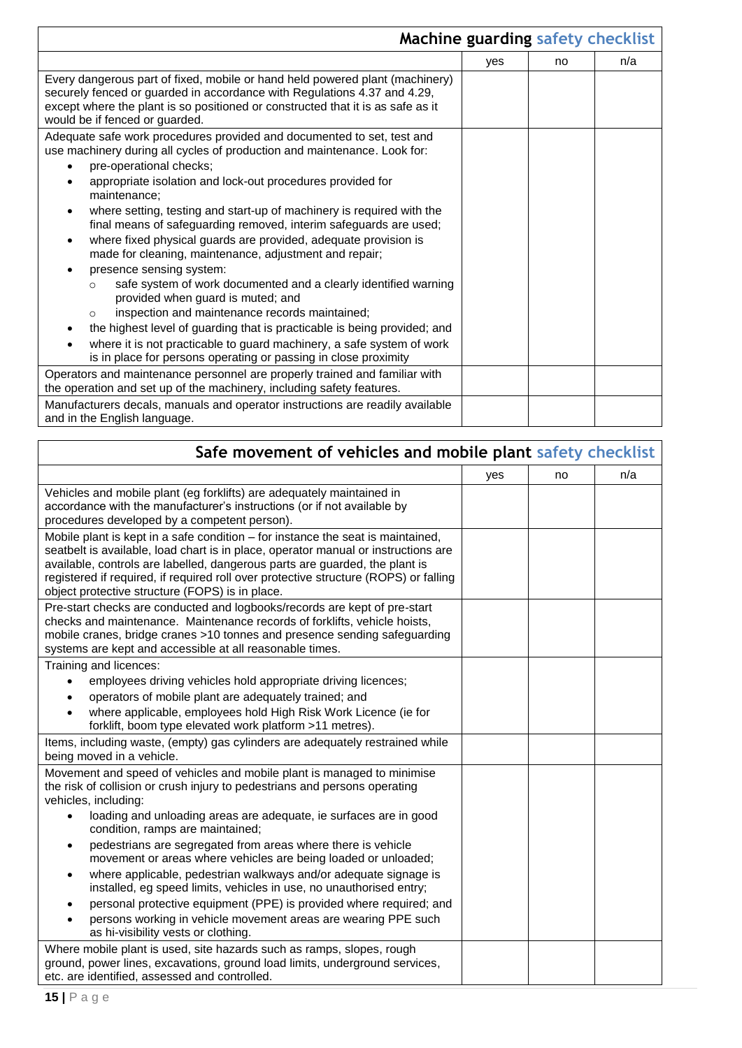|                                                                                                                                                                                                                                                                                                                                                                                                                                                                                                                                                                                                                                                                                                                                                                                                                                                                                                                                                                                          | Machine guarding safety checklist |    |     |
|------------------------------------------------------------------------------------------------------------------------------------------------------------------------------------------------------------------------------------------------------------------------------------------------------------------------------------------------------------------------------------------------------------------------------------------------------------------------------------------------------------------------------------------------------------------------------------------------------------------------------------------------------------------------------------------------------------------------------------------------------------------------------------------------------------------------------------------------------------------------------------------------------------------------------------------------------------------------------------------|-----------------------------------|----|-----|
|                                                                                                                                                                                                                                                                                                                                                                                                                                                                                                                                                                                                                                                                                                                                                                                                                                                                                                                                                                                          | yes                               | no | n/a |
| Every dangerous part of fixed, mobile or hand held powered plant (machinery)<br>securely fenced or guarded in accordance with Regulations 4.37 and 4.29,<br>except where the plant is so positioned or constructed that it is as safe as it<br>would be if fenced or guarded.                                                                                                                                                                                                                                                                                                                                                                                                                                                                                                                                                                                                                                                                                                            |                                   |    |     |
| Adequate safe work procedures provided and documented to set, test and<br>use machinery during all cycles of production and maintenance. Look for:<br>pre-operational checks;<br>appropriate isolation and lock-out procedures provided for<br>maintenance:<br>where setting, testing and start-up of machinery is required with the<br>final means of safeguarding removed, interim safeguards are used;<br>where fixed physical guards are provided, adequate provision is<br>$\bullet$<br>made for cleaning, maintenance, adjustment and repair;<br>presence sensing system:<br>safe system of work documented and a clearly identified warning<br>$\Omega$<br>provided when guard is muted; and<br>inspection and maintenance records maintained;<br>$\circ$<br>the highest level of guarding that is practicable is being provided; and<br>where it is not practicable to guard machinery, a safe system of work<br>is in place for persons operating or passing in close proximity |                                   |    |     |
| Operators and maintenance personnel are properly trained and familiar with<br>the operation and set up of the machinery, including safety features.                                                                                                                                                                                                                                                                                                                                                                                                                                                                                                                                                                                                                                                                                                                                                                                                                                      |                                   |    |     |
| Manufacturers decals, manuals and operator instructions are readily available<br>and in the English language.                                                                                                                                                                                                                                                                                                                                                                                                                                                                                                                                                                                                                                                                                                                                                                                                                                                                            |                                   |    |     |

| Safe movement of vehicles and mobile plant safety checklist                                                                                                                                                                                                                                                                                                                                                                                               |     |    |     |  |
|-----------------------------------------------------------------------------------------------------------------------------------------------------------------------------------------------------------------------------------------------------------------------------------------------------------------------------------------------------------------------------------------------------------------------------------------------------------|-----|----|-----|--|
|                                                                                                                                                                                                                                                                                                                                                                                                                                                           | yes | no | n/a |  |
| Vehicles and mobile plant (eg forklifts) are adequately maintained in<br>accordance with the manufacturer's instructions (or if not available by<br>procedures developed by a competent person).                                                                                                                                                                                                                                                          |     |    |     |  |
| Mobile plant is kept in a safe condition – for instance the seat is maintained,<br>seatbelt is available, load chart is in place, operator manual or instructions are<br>available, controls are labelled, dangerous parts are guarded, the plant is<br>registered if required, if required roll over protective structure (ROPS) or falling<br>object protective structure (FOPS) is in place.                                                           |     |    |     |  |
| Pre-start checks are conducted and logbooks/records are kept of pre-start<br>checks and maintenance. Maintenance records of forklifts, vehicle hoists,<br>mobile cranes, bridge cranes >10 tonnes and presence sending safeguarding<br>systems are kept and accessible at all reasonable times.                                                                                                                                                           |     |    |     |  |
| Training and licences:<br>employees driving vehicles hold appropriate driving licences;<br>operators of mobile plant are adequately trained; and<br>where applicable, employees hold High Risk Work Licence (ie for<br>forklift, boom type elevated work platform >11 metres).                                                                                                                                                                            |     |    |     |  |
| Items, including waste, (empty) gas cylinders are adequately restrained while<br>being moved in a vehicle.                                                                                                                                                                                                                                                                                                                                                |     |    |     |  |
| Movement and speed of vehicles and mobile plant is managed to minimise<br>the risk of collision or crush injury to pedestrians and persons operating<br>vehicles, including:<br>loading and unloading areas are adequate, ie surfaces are in good<br>$\bullet$<br>condition, ramps are maintained;                                                                                                                                                        |     |    |     |  |
| pedestrians are segregated from areas where there is vehicle<br>movement or areas where vehicles are being loaded or unloaded;<br>where applicable, pedestrian walkways and/or adequate signage is<br>installed, eg speed limits, vehicles in use, no unauthorised entry;<br>personal protective equipment (PPE) is provided where required; and<br>persons working in vehicle movement areas are wearing PPE such<br>as hi-visibility vests or clothing. |     |    |     |  |
| Where mobile plant is used, site hazards such as ramps, slopes, rough<br>ground, power lines, excavations, ground load limits, underground services,<br>etc. are identified, assessed and controlled.                                                                                                                                                                                                                                                     |     |    |     |  |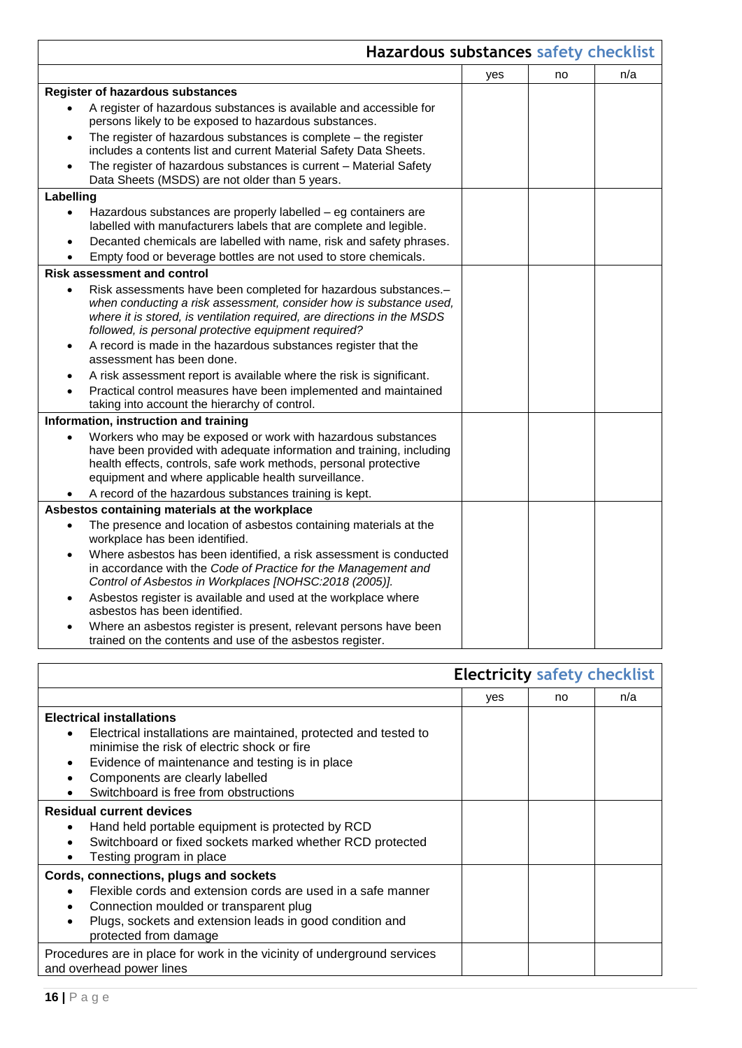|                                                                                                                                                                                                                                                                          | Hazardous substances safety checklist |     |    |     |
|--------------------------------------------------------------------------------------------------------------------------------------------------------------------------------------------------------------------------------------------------------------------------|---------------------------------------|-----|----|-----|
|                                                                                                                                                                                                                                                                          |                                       | yes | no | n/a |
| <b>Register of hazardous substances</b>                                                                                                                                                                                                                                  |                                       |     |    |     |
| A register of hazardous substances is available and accessible for<br>persons likely to be exposed to hazardous substances.                                                                                                                                              |                                       |     |    |     |
| The register of hazardous substances is complete $-$ the register<br>$\bullet$<br>includes a contents list and current Material Safety Data Sheets.                                                                                                                      |                                       |     |    |     |
| The register of hazardous substances is current - Material Safety<br>Data Sheets (MSDS) are not older than 5 years.                                                                                                                                                      |                                       |     |    |     |
| Labelling                                                                                                                                                                                                                                                                |                                       |     |    |     |
| Hazardous substances are properly labelled - eg containers are<br>labelled with manufacturers labels that are complete and legible.                                                                                                                                      |                                       |     |    |     |
| Decanted chemicals are labelled with name, risk and safety phrases.<br>Empty food or beverage bottles are not used to store chemicals.                                                                                                                                   |                                       |     |    |     |
| <b>Risk assessment and control</b>                                                                                                                                                                                                                                       |                                       |     |    |     |
| Risk assessments have been completed for hazardous substances.-<br>when conducting a risk assessment, consider how is substance used,<br>where it is stored, is ventilation required, are directions in the MSDS<br>followed, is personal protective equipment required? |                                       |     |    |     |
| A record is made in the hazardous substances register that the<br>$\bullet$<br>assessment has been done.                                                                                                                                                                 |                                       |     |    |     |
| A risk assessment report is available where the risk is significant.                                                                                                                                                                                                     |                                       |     |    |     |
| Practical control measures have been implemented and maintained<br>taking into account the hierarchy of control.                                                                                                                                                         |                                       |     |    |     |
| Information, instruction and training                                                                                                                                                                                                                                    |                                       |     |    |     |
| Workers who may be exposed or work with hazardous substances<br>have been provided with adequate information and training, including<br>health effects, controls, safe work methods, personal protective<br>equipment and where applicable health surveillance.          |                                       |     |    |     |
| A record of the hazardous substances training is kept.                                                                                                                                                                                                                   |                                       |     |    |     |
| Asbestos containing materials at the workplace                                                                                                                                                                                                                           |                                       |     |    |     |
| The presence and location of asbestos containing materials at the<br>$\bullet$<br>workplace has been identified.                                                                                                                                                         |                                       |     |    |     |
| Where asbestos has been identified, a risk assessment is conducted<br>$\bullet$<br>in accordance with the Code of Practice for the Management and<br>Control of Asbestos in Workplaces [NOHSC:2018 (2005)].                                                              |                                       |     |    |     |
| Asbestos register is available and used at the workplace where<br>asbestos has been identified.                                                                                                                                                                          |                                       |     |    |     |
| Where an asbestos register is present, relevant persons have been<br>trained on the contents and use of the asbestos register.                                                                                                                                           |                                       |     |    |     |

|                                                                                                                                                                                                                                                                                   | <b>Electricity safety checklist</b> |    |     |
|-----------------------------------------------------------------------------------------------------------------------------------------------------------------------------------------------------------------------------------------------------------------------------------|-------------------------------------|----|-----|
|                                                                                                                                                                                                                                                                                   | yes                                 | no | n/a |
| <b>Electrical installations</b><br>Electrical installations are maintained, protected and tested to<br>minimise the risk of electric shock or fire<br>Evidence of maintenance and testing is in place<br>Components are clearly labelled<br>Switchboard is free from obstructions |                                     |    |     |
| <b>Residual current devices</b><br>Hand held portable equipment is protected by RCD<br>٠<br>Switchboard or fixed sockets marked whether RCD protected<br>$\bullet$<br>Testing program in place                                                                                    |                                     |    |     |
| Cords, connections, plugs and sockets<br>Flexible cords and extension cords are used in a safe manner<br>Connection moulded or transparent plug<br>Plugs, sockets and extension leads in good condition and<br>protected from damage                                              |                                     |    |     |
| Procedures are in place for work in the vicinity of underground services<br>and overhead power lines                                                                                                                                                                              |                                     |    |     |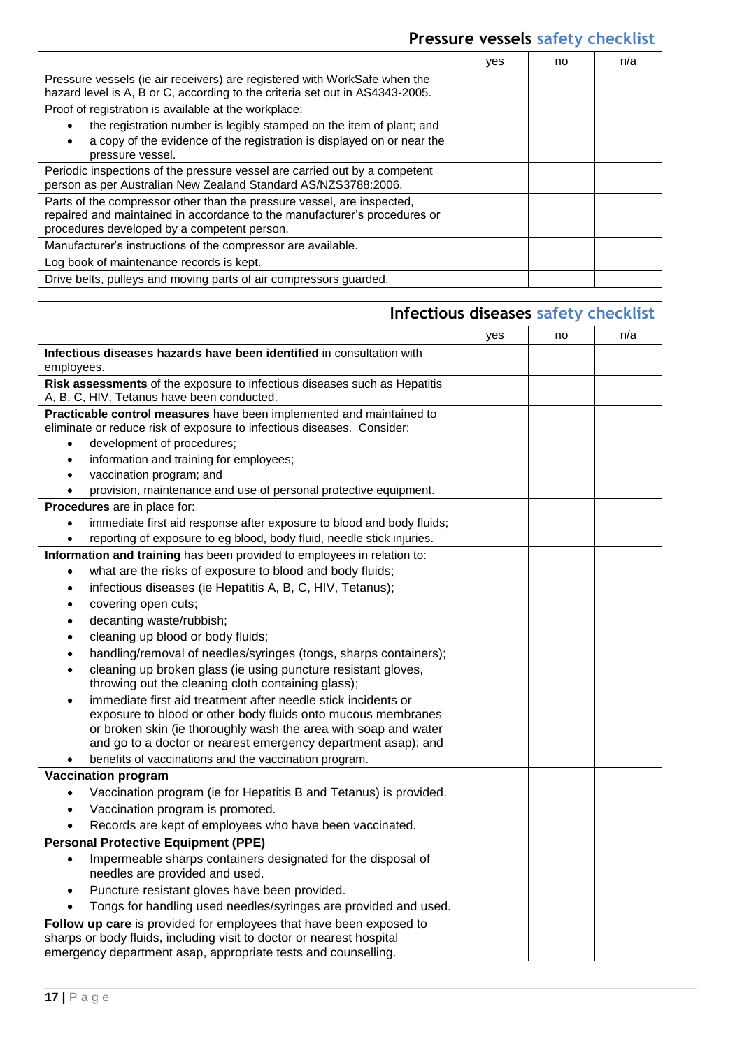| Pressure vessels safety checklist                                                                                                                                                                  |     |    |     |  |
|----------------------------------------------------------------------------------------------------------------------------------------------------------------------------------------------------|-----|----|-----|--|
|                                                                                                                                                                                                    | yes | no | n/a |  |
| Pressure vessels (ie air receivers) are registered with WorkSafe when the<br>hazard level is A, B or C, according to the criteria set out in AS4343-2005.                                          |     |    |     |  |
| Proof of registration is available at the workplace:                                                                                                                                               |     |    |     |  |
| the registration number is legibly stamped on the item of plant; and                                                                                                                               |     |    |     |  |
| a copy of the evidence of the registration is displayed on or near the<br>pressure vessel.                                                                                                         |     |    |     |  |
| Periodic inspections of the pressure vessel are carried out by a competent<br>person as per Australian New Zealand Standard AS/NZS3788:2006.                                                       |     |    |     |  |
| Parts of the compressor other than the pressure vessel, are inspected,<br>repaired and maintained in accordance to the manufacturer's procedures or<br>procedures developed by a competent person. |     |    |     |  |
| Manufacturer's instructions of the compressor are available.                                                                                                                                       |     |    |     |  |
| Log book of maintenance records is kept.                                                                                                                                                           |     |    |     |  |
| Drive belts, pulleys and moving parts of air compressors guarded.                                                                                                                                  |     |    |     |  |

| Infectious diseases safety checklist                                                                                            |     |    |     |  |  |
|---------------------------------------------------------------------------------------------------------------------------------|-----|----|-----|--|--|
|                                                                                                                                 | yes | no | n/a |  |  |
| Infectious diseases hazards have been identified in consultation with                                                           |     |    |     |  |  |
| employees.                                                                                                                      |     |    |     |  |  |
| Risk assessments of the exposure to infectious diseases such as Hepatitis                                                       |     |    |     |  |  |
| A, B, C, HIV, Tetanus have been conducted.                                                                                      |     |    |     |  |  |
| Practicable control measures have been implemented and maintained to                                                            |     |    |     |  |  |
| eliminate or reduce risk of exposure to infectious diseases. Consider:                                                          |     |    |     |  |  |
| development of procedures;                                                                                                      |     |    |     |  |  |
| information and training for employees;<br>$\bullet$                                                                            |     |    |     |  |  |
| vaccination program; and<br>$\bullet$                                                                                           |     |    |     |  |  |
| provision, maintenance and use of personal protective equipment.                                                                |     |    |     |  |  |
| Procedures are in place for:                                                                                                    |     |    |     |  |  |
| immediate first aid response after exposure to blood and body fluids;                                                           |     |    |     |  |  |
| reporting of exposure to eg blood, body fluid, needle stick injuries.                                                           |     |    |     |  |  |
| Information and training has been provided to employees in relation to:                                                         |     |    |     |  |  |
| what are the risks of exposure to blood and body fluids;<br>٠                                                                   |     |    |     |  |  |
| infectious diseases (ie Hepatitis A, B, C, HIV, Tetanus);<br>٠                                                                  |     |    |     |  |  |
| covering open cuts;                                                                                                             |     |    |     |  |  |
| decanting waste/rubbish;                                                                                                        |     |    |     |  |  |
| cleaning up blood or body fluids;<br>$\bullet$                                                                                  |     |    |     |  |  |
| handling/removal of needles/syringes (tongs, sharps containers);<br>$\bullet$                                                   |     |    |     |  |  |
| cleaning up broken glass (ie using puncture resistant gloves,                                                                   |     |    |     |  |  |
| throwing out the cleaning cloth containing glass);                                                                              |     |    |     |  |  |
| immediate first aid treatment after needle stick incidents or                                                                   |     |    |     |  |  |
| exposure to blood or other body fluids onto mucous membranes<br>or broken skin (ie thoroughly wash the area with soap and water |     |    |     |  |  |
| and go to a doctor or nearest emergency department asap); and                                                                   |     |    |     |  |  |
| benefits of vaccinations and the vaccination program.                                                                           |     |    |     |  |  |
| <b>Vaccination program</b>                                                                                                      |     |    |     |  |  |
| Vaccination program (ie for Hepatitis B and Tetanus) is provided.                                                               |     |    |     |  |  |
| Vaccination program is promoted.                                                                                                |     |    |     |  |  |
| Records are kept of employees who have been vaccinated.                                                                         |     |    |     |  |  |
| <b>Personal Protective Equipment (PPE)</b>                                                                                      |     |    |     |  |  |
| Impermeable sharps containers designated for the disposal of                                                                    |     |    |     |  |  |
| needles are provided and used.                                                                                                  |     |    |     |  |  |
| Puncture resistant gloves have been provided.                                                                                   |     |    |     |  |  |
| Tongs for handling used needles/syringes are provided and used.                                                                 |     |    |     |  |  |
| Follow up care is provided for employees that have been exposed to                                                              |     |    |     |  |  |
| sharps or body fluids, including visit to doctor or nearest hospital                                                            |     |    |     |  |  |
| emergency department asap, appropriate tests and counselling.                                                                   |     |    |     |  |  |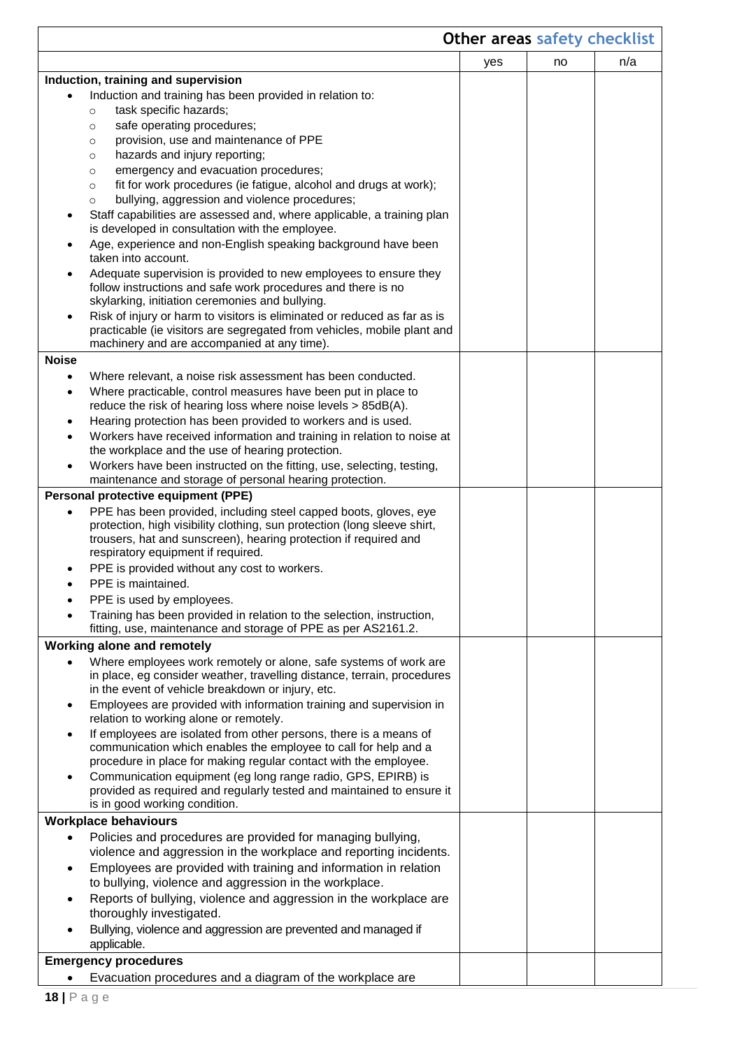|                                                                                                                                                                                                                                                                     | Other areas safety checklist |    |     |  |  |  |
|---------------------------------------------------------------------------------------------------------------------------------------------------------------------------------------------------------------------------------------------------------------------|------------------------------|----|-----|--|--|--|
|                                                                                                                                                                                                                                                                     | yes                          | no | n/a |  |  |  |
| Induction, training and supervision                                                                                                                                                                                                                                 |                              |    |     |  |  |  |
| Induction and training has been provided in relation to:                                                                                                                                                                                                            |                              |    |     |  |  |  |
| task specific hazards;<br>$\circ$                                                                                                                                                                                                                                   |                              |    |     |  |  |  |
| safe operating procedures;<br>$\circ$                                                                                                                                                                                                                               |                              |    |     |  |  |  |
| provision, use and maintenance of PPE<br>$\circ$                                                                                                                                                                                                                    |                              |    |     |  |  |  |
| hazards and injury reporting;<br>$\circ$                                                                                                                                                                                                                            |                              |    |     |  |  |  |
| emergency and evacuation procedures;<br>$\circ$                                                                                                                                                                                                                     |                              |    |     |  |  |  |
| fit for work procedures (ie fatigue, alcohol and drugs at work);<br>$\circ$                                                                                                                                                                                         |                              |    |     |  |  |  |
| bullying, aggression and violence procedures;<br>$\circ$                                                                                                                                                                                                            |                              |    |     |  |  |  |
| Staff capabilities are assessed and, where applicable, a training plan<br>is developed in consultation with the employee.                                                                                                                                           |                              |    |     |  |  |  |
| Age, experience and non-English speaking background have been<br>taken into account.                                                                                                                                                                                |                              |    |     |  |  |  |
| Adequate supervision is provided to new employees to ensure they<br>٠                                                                                                                                                                                               |                              |    |     |  |  |  |
| follow instructions and safe work procedures and there is no<br>skylarking, initiation ceremonies and bullying.                                                                                                                                                     |                              |    |     |  |  |  |
| Risk of injury or harm to visitors is eliminated or reduced as far as is<br>$\bullet$<br>practicable (ie visitors are segregated from vehicles, mobile plant and                                                                                                    |                              |    |     |  |  |  |
| machinery and are accompanied at any time).                                                                                                                                                                                                                         |                              |    |     |  |  |  |
| <b>Noise</b>                                                                                                                                                                                                                                                        |                              |    |     |  |  |  |
| Where relevant, a noise risk assessment has been conducted.<br>$\bullet$                                                                                                                                                                                            |                              |    |     |  |  |  |
| Where practicable, control measures have been put in place to<br>$\bullet$                                                                                                                                                                                          |                              |    |     |  |  |  |
| reduce the risk of hearing loss where noise levels > 85dB(A).                                                                                                                                                                                                       |                              |    |     |  |  |  |
| Hearing protection has been provided to workers and is used.<br>٠                                                                                                                                                                                                   |                              |    |     |  |  |  |
| Workers have received information and training in relation to noise at                                                                                                                                                                                              |                              |    |     |  |  |  |
| the workplace and the use of hearing protection.                                                                                                                                                                                                                    |                              |    |     |  |  |  |
| Workers have been instructed on the fitting, use, selecting, testing,<br>$\bullet$<br>maintenance and storage of personal hearing protection.                                                                                                                       |                              |    |     |  |  |  |
| Personal protective equipment (PPE)                                                                                                                                                                                                                                 |                              |    |     |  |  |  |
| PPE has been provided, including steel capped boots, gloves, eye<br>$\bullet$<br>protection, high visibility clothing, sun protection (long sleeve shirt,<br>trousers, hat and sunscreen), hearing protection if required and<br>respiratory equipment if required. |                              |    |     |  |  |  |
| PPE is provided without any cost to workers.                                                                                                                                                                                                                        |                              |    |     |  |  |  |
| PPE is maintained.                                                                                                                                                                                                                                                  |                              |    |     |  |  |  |
| PPE is used by employees.                                                                                                                                                                                                                                           |                              |    |     |  |  |  |
| Training has been provided in relation to the selection, instruction,                                                                                                                                                                                               |                              |    |     |  |  |  |
| fitting, use, maintenance and storage of PPE as per AS2161.2.                                                                                                                                                                                                       |                              |    |     |  |  |  |
| Working alone and remotely                                                                                                                                                                                                                                          |                              |    |     |  |  |  |
| Where employees work remotely or alone, safe systems of work are<br>in place, eg consider weather, travelling distance, terrain, procedures                                                                                                                         |                              |    |     |  |  |  |
| in the event of vehicle breakdown or injury, etc.<br>Employees are provided with information training and supervision in                                                                                                                                            |                              |    |     |  |  |  |
| $\bullet$<br>relation to working alone or remotely.                                                                                                                                                                                                                 |                              |    |     |  |  |  |
| If employees are isolated from other persons, there is a means of<br>$\bullet$<br>communication which enables the employee to call for help and a                                                                                                                   |                              |    |     |  |  |  |
| procedure in place for making regular contact with the employee.                                                                                                                                                                                                    |                              |    |     |  |  |  |
| Communication equipment (eg long range radio, GPS, EPIRB) is<br>provided as required and regularly tested and maintained to ensure it<br>is in good working condition.                                                                                              |                              |    |     |  |  |  |
| <b>Workplace behaviours</b>                                                                                                                                                                                                                                         |                              |    |     |  |  |  |
| Policies and procedures are provided for managing bullying,                                                                                                                                                                                                         |                              |    |     |  |  |  |
| violence and aggression in the workplace and reporting incidents.<br>Employees are provided with training and information in relation                                                                                                                               |                              |    |     |  |  |  |
| $\bullet$<br>to bullying, violence and aggression in the workplace.                                                                                                                                                                                                 |                              |    |     |  |  |  |
| Reports of bullying, violence and aggression in the workplace are<br>$\bullet$<br>thoroughly investigated.                                                                                                                                                          |                              |    |     |  |  |  |
| Bullying, violence and aggression are prevented and managed if<br>applicable.                                                                                                                                                                                       |                              |    |     |  |  |  |
| <b>Emergency procedures</b>                                                                                                                                                                                                                                         |                              |    |     |  |  |  |
| Evacuation procedures and a diagram of the workplace are                                                                                                                                                                                                            |                              |    |     |  |  |  |